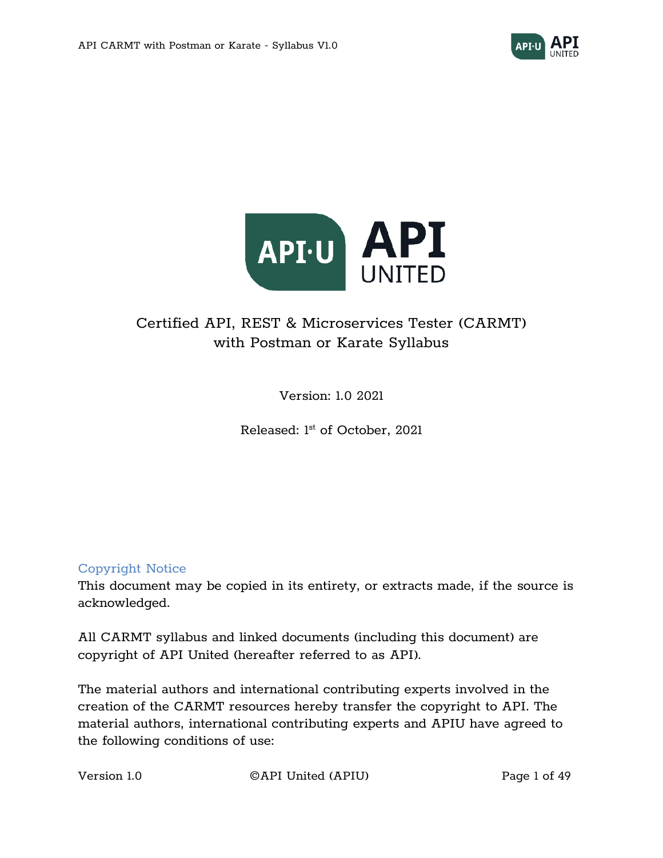



# Certified API, REST & Microservices Tester (CARMT) with Postman or Karate Syllabus

Version: 1.0 2021

Released: 1<sup>st</sup> of October, 2021

#### Copyright Notice

This document may be copied in its entirety, or extracts made, if the source is acknowledged.

All CARMT syllabus and linked documents (including this document) are copyright of API United (hereafter referred to as API).

The material authors and international contributing experts involved in the creation of the CARMT resources hereby transfer the copyright to API. The material authors, international contributing experts and APIU have agreed to the following conditions of use:

Version 1.0 **CAPI United (APIU)** Page 1 of 49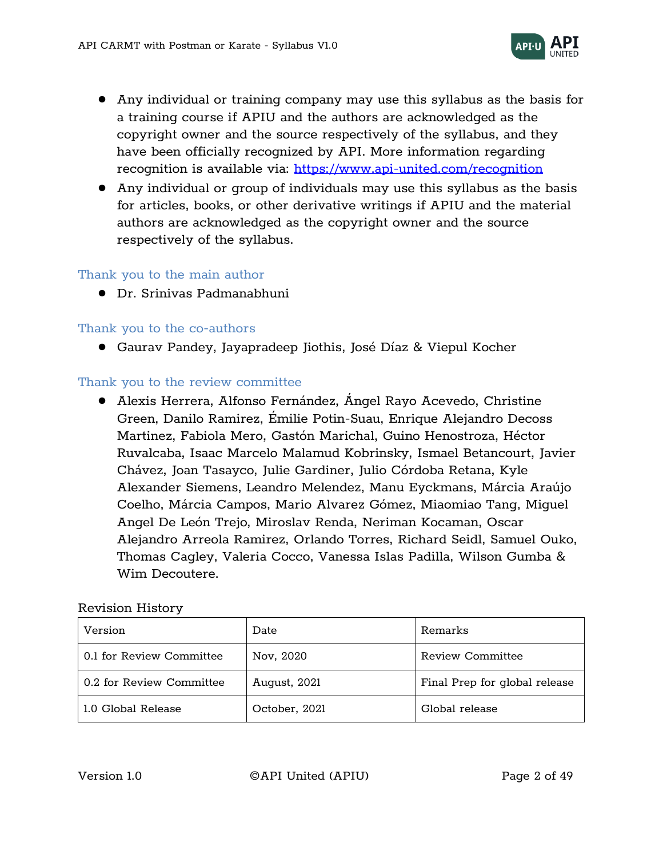

- Any individual or training company may use this syllabus as the basis for a training course if APIU and the authors are acknowledged as the copyright owner and the source respectively of the syllabus, and they have been officially recognized by API. More information regarding recognition is available via:<https://www.api-united.com/recognition>
- Any individual or group of individuals may use this syllabus as the basis for articles, books, or other derivative writings if APIU and the material authors are acknowledged as the copyright owner and the source respectively of the syllabus.

#### Thank you to the main author

● Dr. Srinivas Padmanabhuni

#### Thank you to the co-authors

● Gaurav Pandey, Jayapradeep Jiothis, José Díaz & Viepul Kocher

#### Thank you to the review committee

● Alexis Herrera, Alfonso Fernández, Ángel Rayo Acevedo, Christine Green, Danilo Ramirez, Émilie Potin-Suau, Enrique Alejandro Decoss Martinez, Fabiola Mero, Gastón Marichal, Guino Henostroza, Héctor Ruvalcaba, Isaac Marcelo Malamud Kobrinsky, Ismael Betancourt, Javier Chávez, Joan Tasayco, Julie Gardiner, Julio Córdoba Retana, Kyle Alexander Siemens, Leandro Melendez, Manu Eyckmans, Márcia Araújo Coelho, Márcia Campos, Mario Alvarez Gómez, Miaomiao Tang, Miguel Angel De León Trejo, Miroslav Renda, Neriman Kocaman, Oscar Alejandro Arreola Ramirez, Orlando Torres, Richard Seidl, Samuel Ouko, Thomas Cagley, Valeria Cocco, Vanessa Islas Padilla, Wilson Gumba & Wim Decoutere.

#### Revision History

| Version                  | Date          | Remarks                       |
|--------------------------|---------------|-------------------------------|
| 0.1 for Review Committee | Nov, 2020     | Review Committee              |
| 0.2 for Review Committee | August, 2021  | Final Prep for global release |
| 1.0 Global Release       | October, 2021 | Global release                |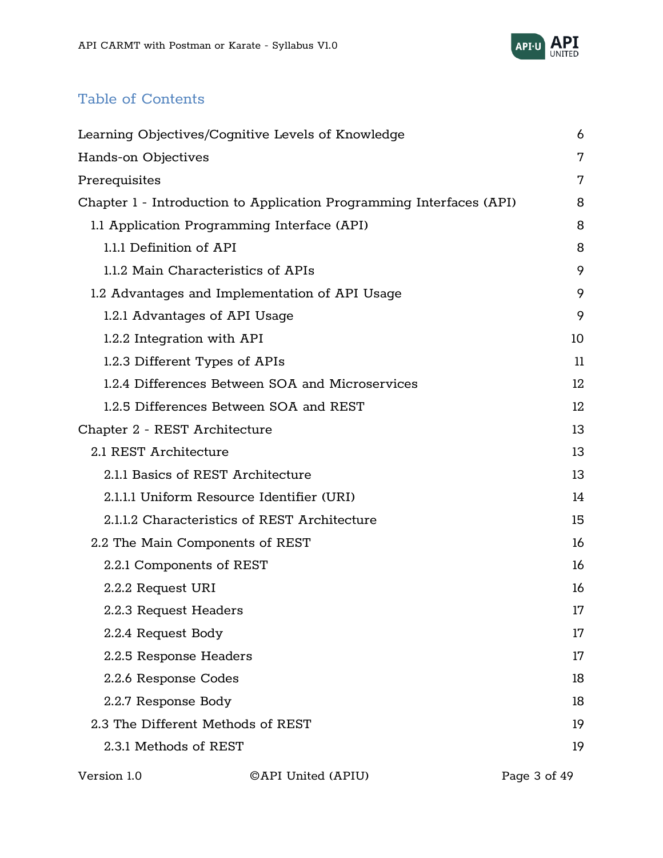

# Table of Contents

| Learning Objectives/Cognitive Levels of Knowledge                    | 6  |
|----------------------------------------------------------------------|----|
| Hands-on Objectives                                                  | 7  |
| Prerequisites                                                        | 7  |
| Chapter 1 - Introduction to Application Programming Interfaces (API) | 8  |
| 1.1 Application Programming Interface (API)                          | 8  |
| 1.1.1 Definition of API                                              | 8  |
| 1.1.2 Main Characteristics of APIs                                   | 9  |
| 1.2 Advantages and Implementation of API Usage                       | 9  |
| 1.2.1 Advantages of API Usage                                        | 9  |
| 1.2.2 Integration with API                                           | 10 |
| 1.2.3 Different Types of APIs                                        | 11 |
| 1.2.4 Differences Between SOA and Microservices                      | 12 |
| 1.2.5 Differences Between SOA and REST                               | 12 |
| Chapter 2 - REST Architecture                                        | 13 |
| 2.1 REST Architecture                                                | 13 |
| 2.1.1 Basics of REST Architecture                                    | 13 |
| 2.1.1.1 Uniform Resource Identifier (URI)                            | 14 |
| 2.1.1.2 Characteristics of REST Architecture                         | 15 |
| 2.2 The Main Components of REST                                      | 16 |
| 2.2.1 Components of REST                                             | 16 |
| 2.2.2 Request URI                                                    | 16 |
| 2.2.3 Request Headers                                                | 17 |
| 2.2.4 Request Body                                                   | 17 |
| 2.2.5 Response Headers                                               | 17 |
| 2.2.6 Response Codes                                                 | 18 |
| 2.2.7 Response Body                                                  | 18 |
| 2.3 The Different Methods of REST                                    | 19 |
| 2.3.1 Methods of REST                                                | 19 |
|                                                                      |    |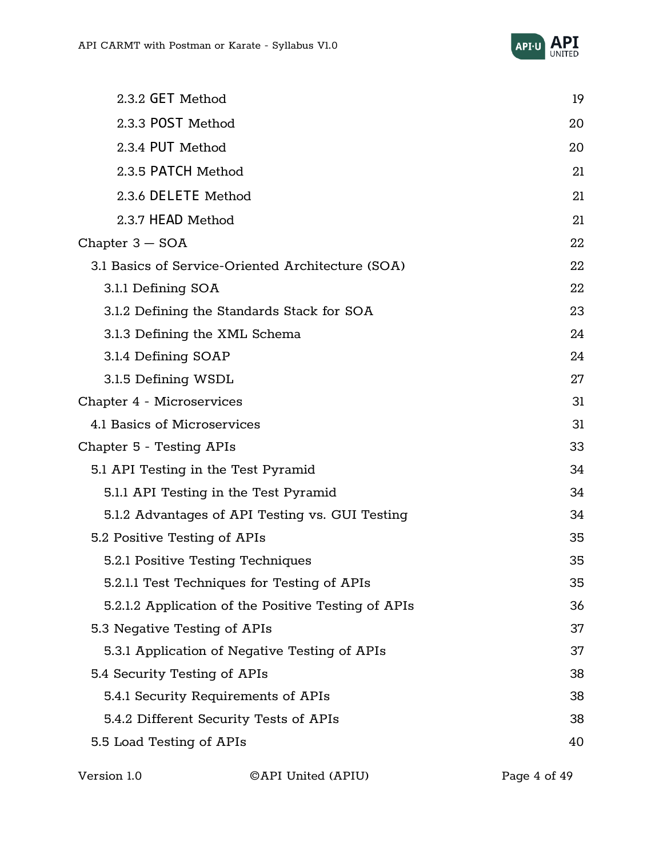

| 2.3.2 GET Method                                    | 19 |
|-----------------------------------------------------|----|
| 2.3.3 POST Method                                   | 20 |
| 2.3.4 PUT Method                                    | 20 |
| 2.3.5 PATCH Method                                  | 21 |
| 2.3.6 DELETE Method                                 | 21 |
| 2.3.7 HEAD Method                                   | 21 |
| Chapter $3 - SOA$                                   | 22 |
| 3.1 Basics of Service-Oriented Architecture (SOA)   | 22 |
| 3.1.1 Defining SOA                                  | 22 |
| 3.1.2 Defining the Standards Stack for SOA          | 23 |
| 3.1.3 Defining the XML Schema                       | 24 |
| 3.1.4 Defining SOAP                                 | 24 |
| 3.1.5 Defining WSDL                                 | 27 |
| Chapter 4 - Microservices                           | 31 |
| 4.1 Basics of Microservices                         | 31 |
| Chapter 5 - Testing APIs                            | 33 |
| 5.1 API Testing in the Test Pyramid                 | 34 |
| 5.1.1 API Testing in the Test Pyramid               | 34 |
| 5.1.2 Advantages of API Testing vs. GUI Testing     | 34 |
| 5.2 Positive Testing of APIs                        | 35 |
| 5.2.1 Positive Testing Techniques                   | 35 |
| 5.2.1.1 Test Techniques for Testing of APIs         | 35 |
| 5.2.1.2 Application of the Positive Testing of APIs | 36 |
| 5.3 Negative Testing of APIs                        | 37 |
| 5.3.1 Application of Negative Testing of APIs       | 37 |
| 5.4 Security Testing of APIs                        | 38 |
| 5.4.1 Security Requirements of APIs                 | 38 |
| 5.4.2 Different Security Tests of APIs              | 38 |
| 5.5 Load Testing of APIs                            | 40 |

| Version 1.0 | ©API United (APIU) | Page 4 of 49 |
|-------------|--------------------|--------------|
|             |                    |              |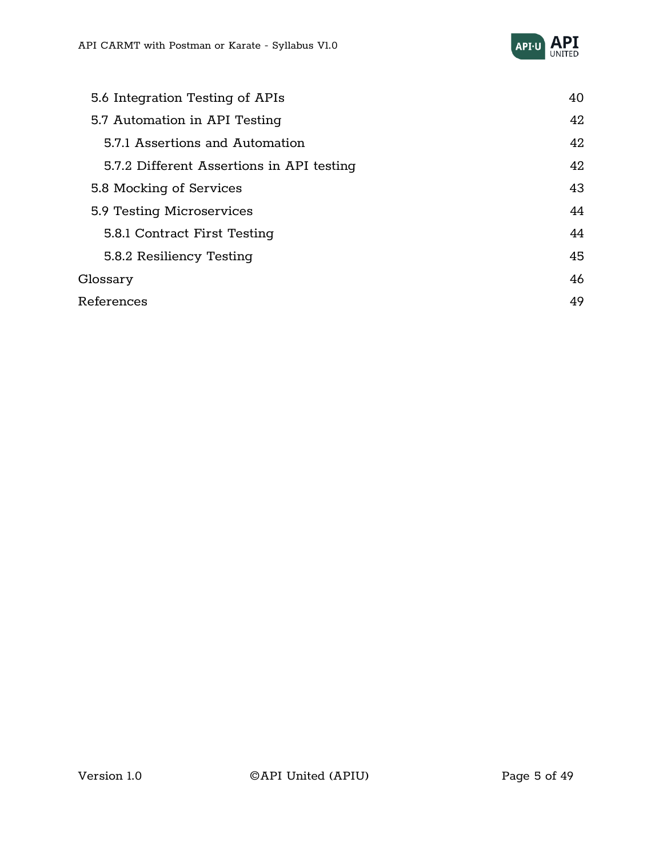

| 5.6 Integration Testing of APIs           | 40 |
|-------------------------------------------|----|
| 5.7 Automation in API Testing             | 42 |
| 5.7.1 Assertions and Automation           | 42 |
| 5.7.2 Different Assertions in API testing | 42 |
| 5.8 Mocking of Services                   | 43 |
| 5.9 Testing Microservices                 | 44 |
| 5.8.1 Contract First Testing              | 44 |
| 5.8.2 Resiliency Testing                  | 45 |
| Glossary                                  | 46 |
| References                                | 49 |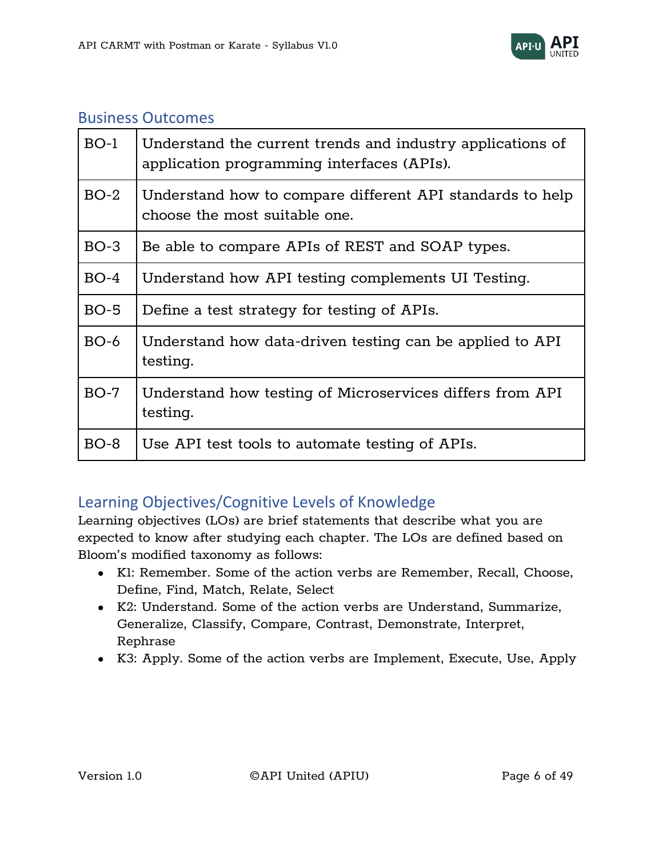

#### Business Outcomes

| $BO-1$ | Understand the current trends and industry applications of<br>application programming interfaces (APIs). |
|--------|----------------------------------------------------------------------------------------------------------|
| $BO-2$ | Understand how to compare different API standards to help<br>choose the most suitable one.               |
| $BO-3$ | Be able to compare APIs of REST and SOAP types.                                                          |
| $BO-4$ | Understand how API testing complements UI Testing.                                                       |
| $BO-5$ | Define a test strategy for testing of APIs.                                                              |
| $BO-6$ | Understand how data-driven testing can be applied to API<br>testing.                                     |
| $BO-7$ | Understand how testing of Microservices differs from API<br>testing.                                     |
| $BO-8$ | Use API test tools to automate testing of APIs.                                                          |

### <span id="page-5-0"></span>Learning Objectives/Cognitive Levels of Knowledge

Learning objectives (LOs) are brief statements that describe what you are expected to know after studying each chapter. The LOs are defined based on Bloom's modified taxonomy as follows:

- K1: Remember. Some of the action verbs are Remember, Recall, Choose, Define, Find, Match, Relate, Select
- K2: Understand. Some of the action verbs are Understand, Summarize, Generalize, Classify, Compare, Contrast, Demonstrate, Interpret, Rephrase
- K3: Apply. Some of the action verbs are Implement, Execute, Use, Apply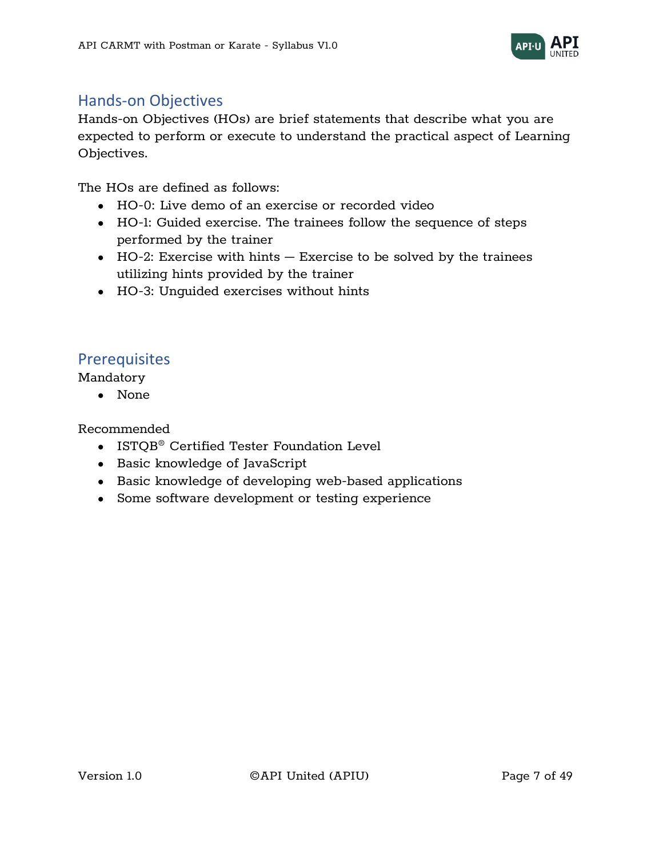

#### <span id="page-6-0"></span>Hands-on Objectives

Hands-on Objectives (HOs) are brief statements that describe what you are expected to perform or execute to understand the practical aspect of Learning Objectives.

The HOs are defined as follows:

- HO-0: Live demo of an exercise or recorded video
- HO-1: Guided exercise. The trainees follow the sequence of steps performed by the trainer
- $\bullet$  HO-2: Exercise with hints  $-$  Exercise to be solved by the trainees utilizing hints provided by the trainer
- HO-3: Unguided exercises without hints

#### <span id="page-6-1"></span>**Prerequisites**

Mandatory

● None

Recommended

- ISTQB® Certified Tester Foundation Level
- Basic knowledge of JavaScript
- Basic knowledge of developing web-based applications
- Some software development or testing experience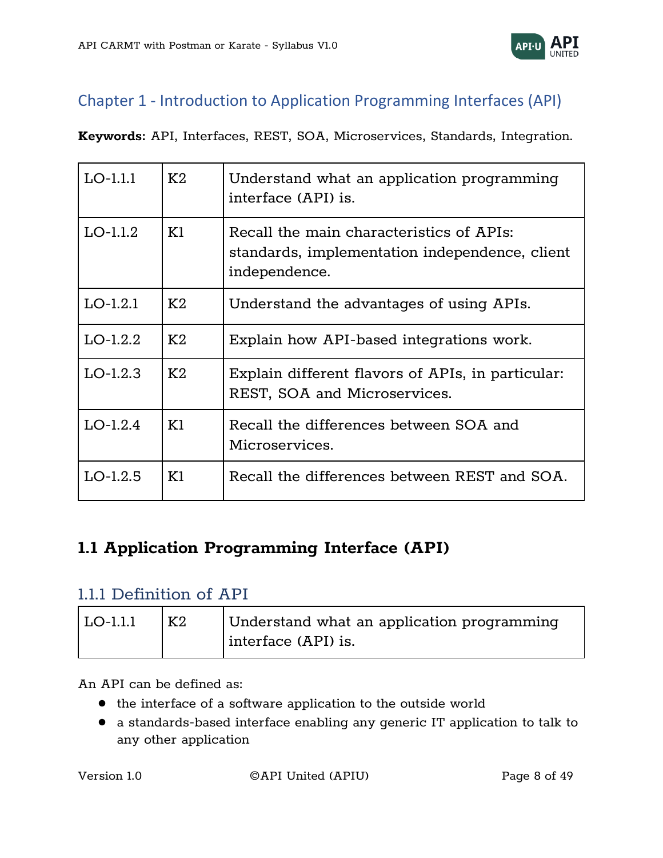

# <span id="page-7-0"></span>Chapter 1 - Introduction to Application Programming Interfaces (API)

**Keywords:** API, Interfaces, REST, SOA, Microservices, Standards, Integration.

| $LO-1.1.1$ | K2 | Understand what an application programming<br>interface (API) is.                                           |
|------------|----|-------------------------------------------------------------------------------------------------------------|
| $LO-1.1.2$ | K1 | Recall the main characteristics of APIs:<br>standards, implementation independence, client<br>independence. |
| $LO-1.2.1$ | K2 | Understand the advantages of using APIs.                                                                    |
| $LO-1.2.2$ | K2 | Explain how API-based integrations work.                                                                    |
| $LO-1.2.3$ | K2 | Explain different flavors of APIs, in particular:<br>REST, SOA and Microservices.                           |
| $LO-1.2.4$ | K1 | Recall the differences between SOA and<br>Microservices.                                                    |
| $LO-1.2.5$ | K1 | Recall the differences between REST and SOA.                                                                |

# <span id="page-7-1"></span>**1.1 Application Programming Interface (API)**

#### <span id="page-7-2"></span>1.1.1 Definition of API

| $\overline{LO-1.1.1}$ | <b>Κ2</b> | Understand what an application programming<br>interface (API) is. |
|-----------------------|-----------|-------------------------------------------------------------------|
|                       |           |                                                                   |

An API can be defined as:

- the interface of a software application to the outside world
- a standards-based interface enabling any generic IT application to talk to any other application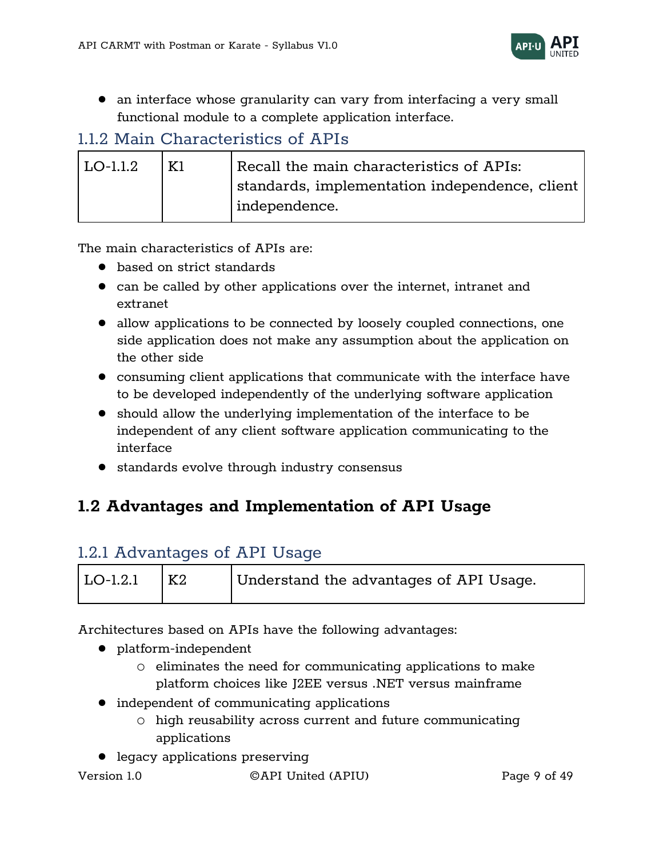

● an interface whose granularity can vary from interfacing a very small functional module to a complete application interface.

# <span id="page-8-0"></span>1.1.2 Main Characteristics of APIs

| $\overline{LO-1.1.2}$ | K1 | Recall the main characteristics of APIs:                     |
|-----------------------|----|--------------------------------------------------------------|
|                       |    | $\mid$ standards, implementation independence, client $\mid$ |
|                       |    | independence.                                                |

The main characteristics of APIs are:

- based on strict standards
- can be called by other applications over the internet, intranet and extranet
- allow applications to be connected by loosely coupled connections, one side application does not make any assumption about the application on the other side
- consuming client applications that communicate with the interface have to be developed independently of the underlying software application
- should allow the underlying implementation of the interface to be independent of any client software application communicating to the interface
- standards evolve through industry consensus

# <span id="page-8-1"></span>**1.2 Advantages and Implementation of API Usage**

### <span id="page-8-2"></span>1.2.1 Advantages of API Usage

| $\overline{\rm LO}$ -1.2.1 | K2 | Understand the advantages of API Usage. |
|----------------------------|----|-----------------------------------------|
|                            |    |                                         |

Architectures based on APIs have the following advantages:

- platform-independent
	- o eliminates the need for communicating applications to make platform choices like J2EE versus .NET versus mainframe
- independent of communicating applications
	- o high reusability across current and future communicating applications
- legacy applications preserving

Version 1.0 ©API United (APIU) Page 9 of 49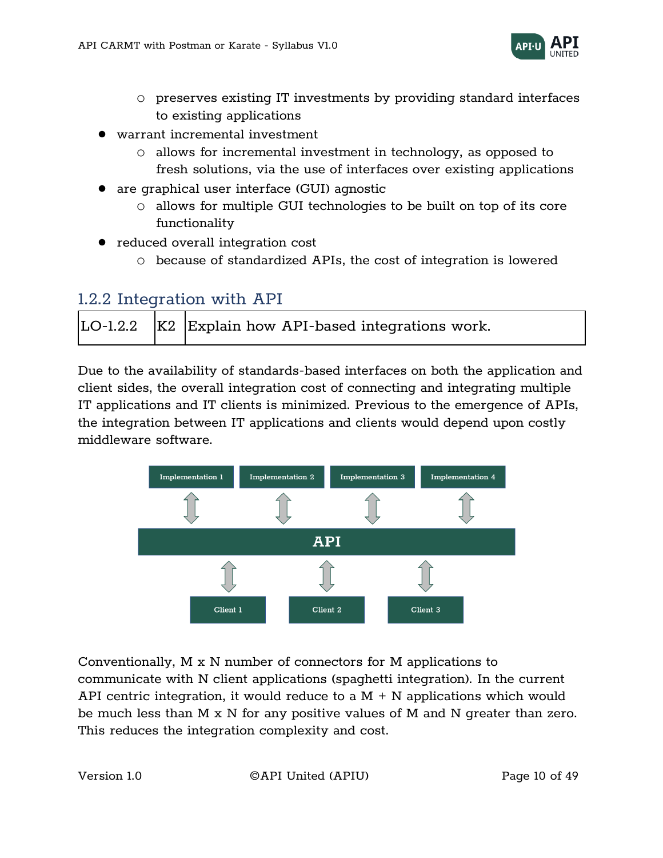

- o preserves existing IT investments by providing standard interfaces to existing applications
- warrant incremental investment
	- o allows for incremental investment in technology, as opposed to fresh solutions, via the use of interfaces over existing applications
- are graphical user interface (GUI) agnostic
	- o allows for multiple GUI technologies to be built on top of its core functionality
- reduced overall integration cost
	- o because of standardized APIs, the cost of integration is lowered

### <span id="page-9-0"></span>1.2.2 Integration with API

|  |  | LO-1.2.2   K2   Explain how API-based integrations work. |
|--|--|----------------------------------------------------------|
|--|--|----------------------------------------------------------|

Due to the availability of standards-based interfaces on both the application and client sides, the overall integration cost of connecting and integrating multiple IT applications and IT clients is minimized. Previous to the emergence of APIs, the integration between IT applications and clients would depend upon costly middleware software.



Conventionally, M x N number of connectors for M applications to communicate with N client applications (spaghetti integration). In the current API centric integration, it would reduce to a  $M + N$  applications which would be much less than M  $\boldsymbol{\mathrm{x}}$  N for any positive values of M and N greater than zero. This reduces the integration complexity and cost.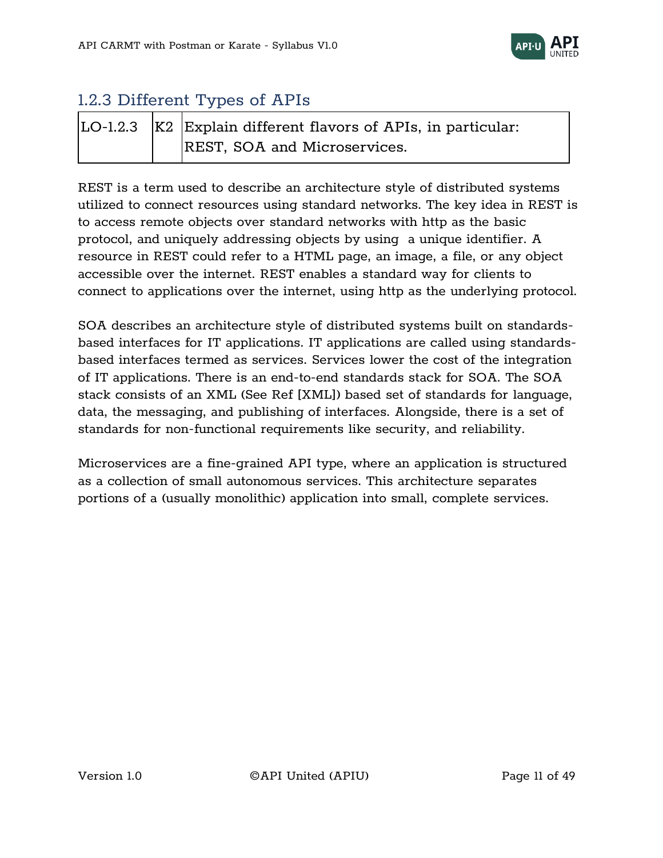

# <span id="page-10-0"></span>1.2.3 Different Types of APIs

|  | $\vert$ LO-1.2.3 $\vert$ K2 Explain different flavors of APIs, in particular: |
|--|-------------------------------------------------------------------------------|
|  | REST, SOA and Microservices.                                                  |

REST is a term used to describe an architecture style of distributed systems utilized to connect resources using standard networks. The key idea in REST is to access remote objects over standard networks with http as the basic protocol, and uniquely addressing objects by using a unique identifier. A resource in REST could refer to a HTML page, an image, a file, or any object accessible over the internet. REST enables a standard way for clients to connect to applications over the internet, using http as the underlying protocol.

SOA describes an architecture style of distributed systems built on standardsbased interfaces for IT applications. IT applications are called using standardsbased interfaces termed as services. Services lower the cost of the integration of IT applications. There is an end-to-end standards stack for SOA. The SOA stack consists of an XML (See Ref [XML]) based set of standards for language, data, the messaging, and publishing of interfaces. Alongside, there is a set of standards for non-functional requirements like security, and reliability.

Microservices are a fine-grained API type, where an application is structured as a collection of small autonomous services. This architecture separates portions of a (usually monolithic) application into small, complete services.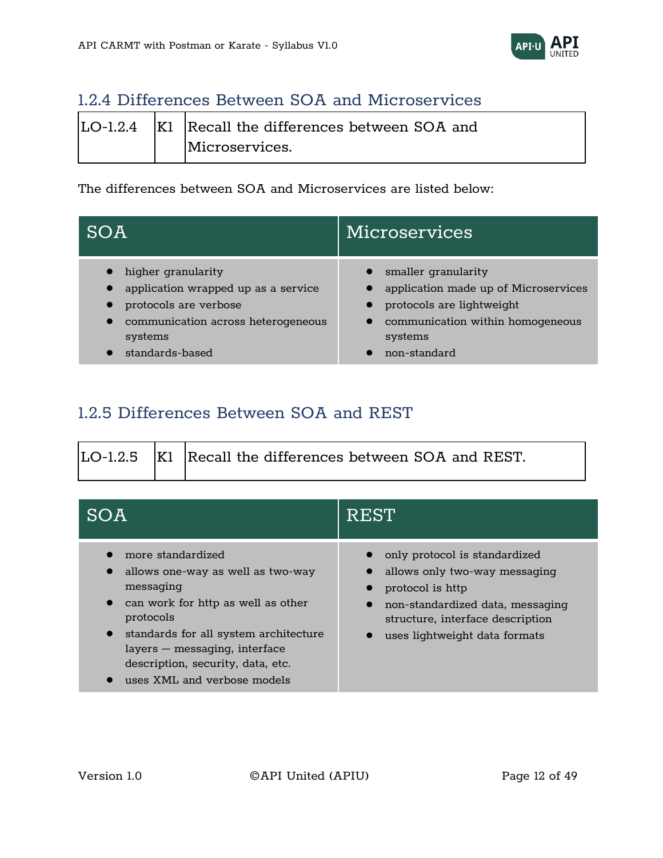

# <span id="page-11-0"></span>1.2.4 Differences Between SOA and Microservices

|  | $\vert$ LO-1.2.4 $\vert$ K1 Recall the differences between SOA and |
|--|--------------------------------------------------------------------|
|  | Microservices.                                                     |

The differences between SOA and Microservices are listed below:

| SOA                                 | Microservices                        |
|-------------------------------------|--------------------------------------|
| higher granularity                  | smaller granularity                  |
| application wrapped up as a service | application made up of Microservices |
| protocols are verbose               | protocols are lightweight            |
| communication across heterogeneous  | communication within homogeneous     |
| systems                             | systems                              |
| standards-based                     | non-standard                         |

# <span id="page-11-1"></span>1.2.5 Differences Between SOA and REST

|  | LO-1.2.5   K1   Recall the differences between SOA and REST. |
|--|--------------------------------------------------------------|
|  |                                                              |

| SOA                                                                                                                                                                                                                                                                                            | REST                                                                                                                                                                                        |
|------------------------------------------------------------------------------------------------------------------------------------------------------------------------------------------------------------------------------------------------------------------------------------------------|---------------------------------------------------------------------------------------------------------------------------------------------------------------------------------------------|
| more standardized<br>allows one-way as well as two-way<br>messaging<br>can work for http as well as other<br>$\bullet$<br>protocols<br>standards for all system architecture<br>$\bullet$<br>layers – messaging, interface<br>description, security, data, etc.<br>uses XML and verbose models | only protocol is standardized<br>allows only two-way messaging<br>protocol is http<br>non-standardized data, messaging<br>structure, interface description<br>uses lightweight data formats |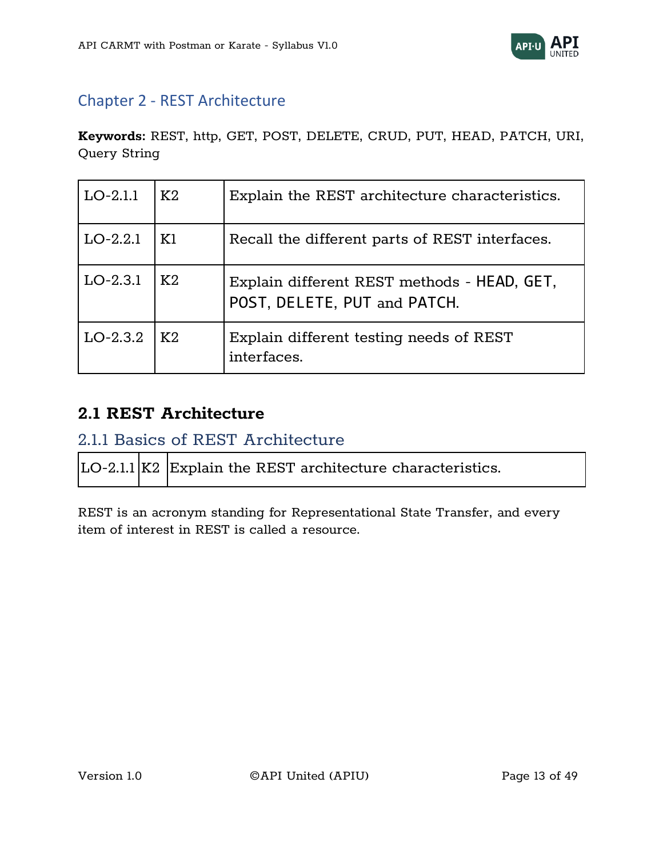

# <span id="page-12-0"></span>Chapter 2 - REST Architecture

**Keywords:** REST, http, GET, POST, DELETE, CRUD, PUT, HEAD, PATCH, URI, Query String

| $LO-2.1.1$ | K2 | Explain the REST architecture characteristics.                              |
|------------|----|-----------------------------------------------------------------------------|
| $LO-2.2.1$ | K1 | Recall the different parts of REST interfaces.                              |
| $LO-2.3.1$ | K2 | Explain different REST methods - HEAD, GET,<br>POST, DELETE, PUT and PATCH. |
| $LO-2.3.2$ | K2 | Explain different testing needs of REST<br>interfaces.                      |

## <span id="page-12-1"></span>**2.1 REST Architecture**

## <span id="page-12-2"></span>2.1.1 Basics of REST Architecture

| LO-2.1.1 K2 Explain the REST architecture characteristics. |  |
|------------------------------------------------------------|--|
|------------------------------------------------------------|--|

REST is an acronym standing for Representational State Transfer, and every item of interest in REST is called a resource.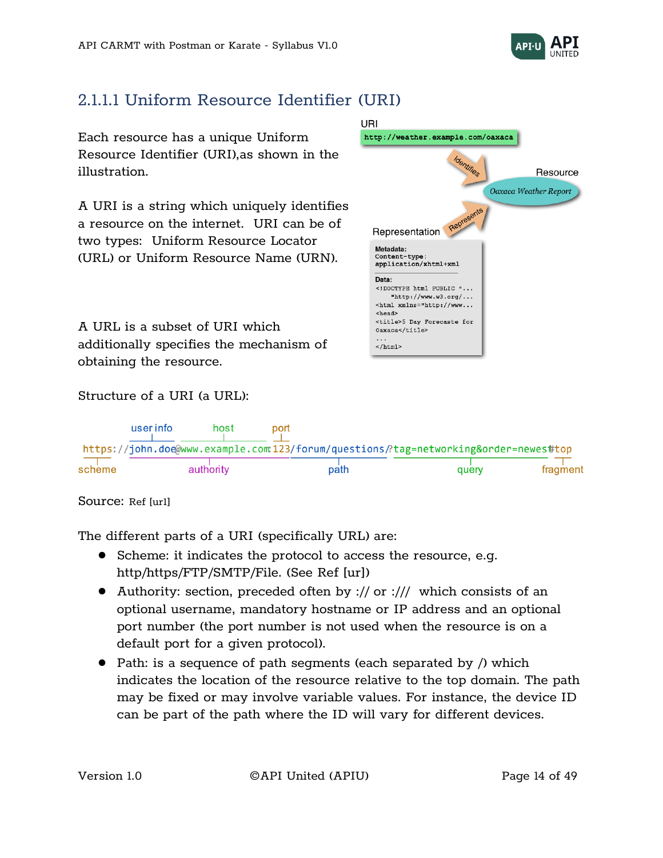

# <span id="page-13-0"></span>2.1.1.1 Uniform Resource Identifier (URI)

Each resource has a unique Uniform Resource Identifier (URI),as shown in the illustration.

A URI is a string which uniquely identifies a resource on the internet. URI can be of two types: Uniform Resource Locator (URL) or Uniform Resource Name (URN).

A URL is a subset of URI which additionally specifies the mechanism of obtaining the resource.



#### Structure of a URI (a URL):

|        | user info | host      | port |                                                                                 |          |
|--------|-----------|-----------|------|---------------------------------------------------------------------------------|----------|
|        |           |           |      | https://john.doe@www.example.com:123/forum/questions/?tag=networkingℴ=newes#top |          |
| scheme |           | authority | path | query                                                                           | fragment |

#### Source: Ref [url]

The different parts of a URI (specifically URL) are:

- Scheme: it indicates the protocol to access the resource, e.g. http/https/FTP/SMTP/File. (See Ref [ur])
- Authority: section, preceded often by :// or :/// which consists of an optional username, mandatory hostname or IP address and an optional port number (the port number is not used when the resource is on a default port for a given protocol).
- Path: is a sequence of path seqments (each separated by /) which indicates the location of the resource relative to the top domain. The path may be fixed or may involve variable values. For instance, the device ID can be part of the path where the ID will vary for different devices.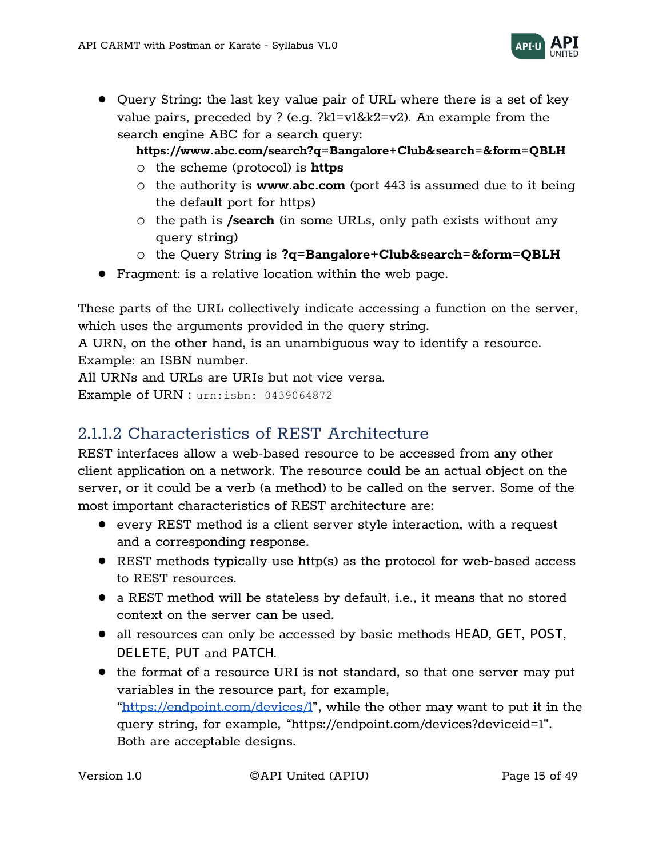

● Query String: the last key value pair of URL where there is a set of key value pairs, preceded by ? (e.g. ?k1=v1&k2=v2). An example from the search engine ABC for a search query:

#### **https://www.abc.com/search?q=Bangalore+Club&search=&form=QBLH**

- o the scheme (protocol) is **https**
- o the authority is **www.abc.com** (port 443 is assumed due to it being the default port for https)
- o the path is **/search** (in some URLs, only path exists without any query string)
- o the Query String is **?q=Bangalore+Club&search=&form=QBLH**
- Fragment: is a relative location within the web page.

These parts of the URL collectively indicate accessing a function on the server, which uses the arguments provided in the query string.

A URN, on the other hand, is an unambiguous way to identify a resource. Example: an ISBN number.

All URNs and URLs are URIs but not vice versa.

Example of URN : urn:isbn: 0439064872

# <span id="page-14-0"></span>2.1.1.2 Characteristics of REST Architecture

REST interfaces allow a web-based resource to be accessed from any other client application on a network. The resource could be an actual object on the server, or it could be a verb (a method) to be called on the server. Some of the most important characteristics of REST architecture are:

- every REST method is a client server style interaction, with a request and a corresponding response.
- REST methods typically use http(s) as the protocol for web-based access to REST resources.
- a REST method will be stateless by default, i.e., it means that no stored context on the server can be used.
- all resources can only be accessed by basic methods <code>HEAD, GET, POST,</code> DELETE, PUT and PATCH.
- the format of a resource URI is not standard, so that one server may put variables in the resource part, for example, "<https://endpoint.com/devices/1>", while the other may want to put it in the query string, for example, "https://endpoint.com[/devices?](https://device/types/%7btypeId%7d/devices/%7bdeviceId%7d/diag/logs)deviceid=1". Both are acceptable designs.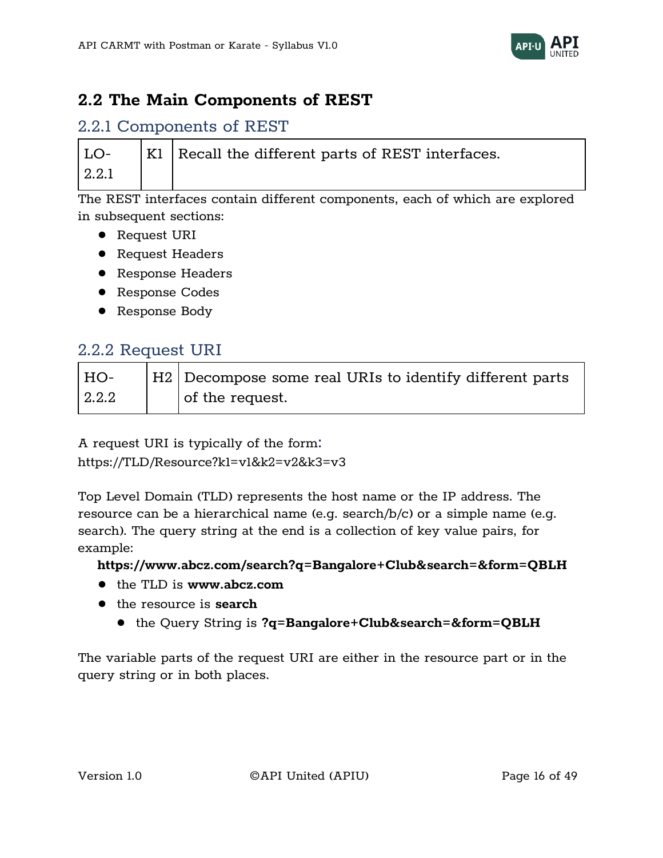

# <span id="page-15-0"></span>**2.2 The Main Components of REST**

#### <span id="page-15-1"></span>2.2.1 Components of REST

|       | $\vert$ LO- $\vert$ K1 Recall the different parts of REST interfaces. |
|-------|-----------------------------------------------------------------------|
| 2.2.1 |                                                                       |

The REST interfaces contain different components, each of which are explored in subsequent sections:

- Request URI
- Request Headers
- Response Headers
- Response Codes
- Response Body

#### <span id="page-15-2"></span>2.2.2 Request URI

| HO-   | H2   Decompose some real URIs to identify different parts |
|-------|-----------------------------------------------------------|
| 2.2.2 | of the request.                                           |

A request URI is typically of the form: [https://TLD/Resource?k1=v1&k2=v2&k3=v3](https://tld/Resource?k1=v1&k2=v2&k3=v3)

Top Level Domain (TLD) represents the host name or the IP address. The resource can be a hierarchical name (e.g. search/b/c) or a simple name (e.g. search). The query string at the end is a collection of key value pairs, for example:

#### **https://www.abcz.com/search?q=Bangalore+Club&search=&form=QBLH**

- the TLD is **www.abcz.com**
- the resource is **search**
	- the Query String is **?q=Bangalore+Club&search=&form=QBLH**

The variable parts of the request URI are either in the resource part or in the query string or in both places.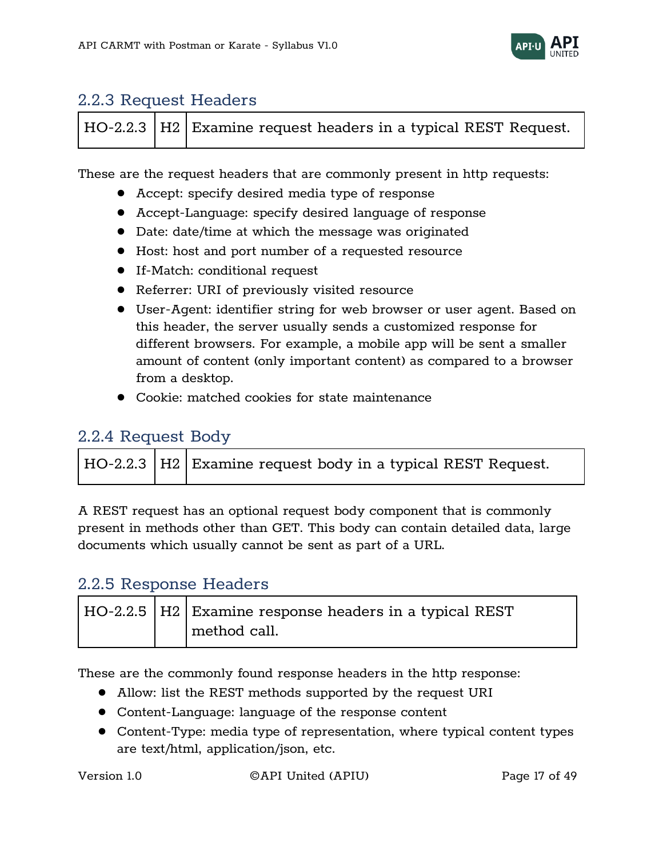

### <span id="page-16-0"></span>2.2.3 Request Headers

|  | $\vert$ HO-2.2.3 $\vert$ H2 $\vert$ Examine request headers in a typical REST Request. |
|--|----------------------------------------------------------------------------------------|
|--|----------------------------------------------------------------------------------------|

These are the request headers that are commonly present in http requests:

- Accept: specify desired media type of response
- Accept-Language: specify desired language of response
- Date: date/time at which the message was originated
- Host: host and port number of a requested resource
- If-Match: conditional request
- Referrer: URI of previously visited resource
- User-Agent: identifier string for web browser or user agent. Based on this header, the server usually sends a customized response for different browsers. For example, a mobile app will be sent a smaller amount of content (only important content) as compared to a browser from a desktop.
- Cookie: matched cookies for state maintenance

## <span id="page-16-1"></span>2.2.4 Request Body

|  |  | HO-2.2.3   H2   Examine request body in a typical REST Request. |
|--|--|-----------------------------------------------------------------|
|--|--|-----------------------------------------------------------------|

A REST request has an optional request body component that is commonly present in methods other than GET. This body can contain detailed data, large documents which usually cannot be sent as part of a URL.

### <span id="page-16-2"></span>2.2.5 Response Headers

|  | HO-2.2.5   H2   Examine response headers in a typical REST |
|--|------------------------------------------------------------|
|  | method call.                                               |

These are the commonly found response headers in the http response:

- Allow: list the REST methods supported by the request URI
- Content-Language: language of the response content
- Content-Type: media type of representation, where typical content types are text/html, application/json, etc.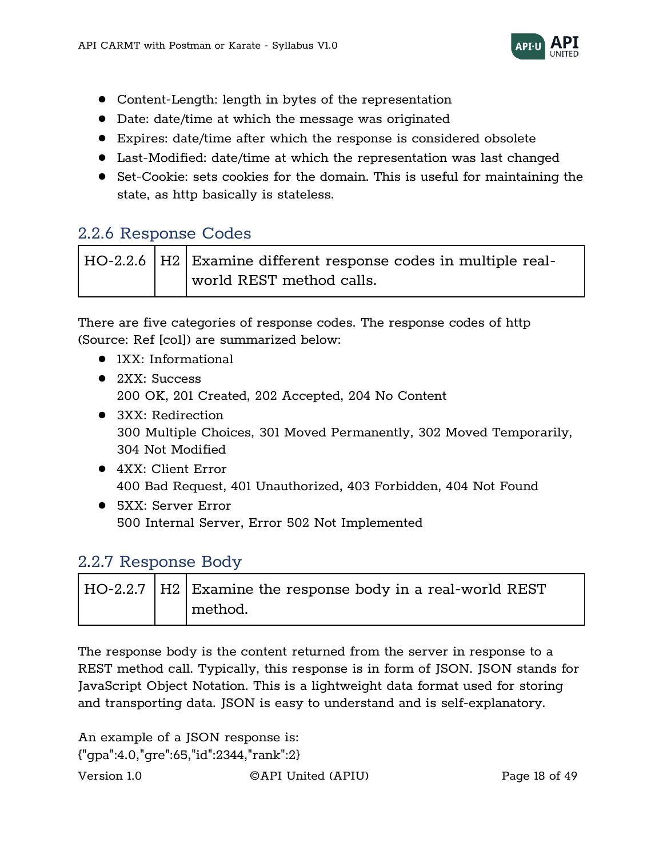

- Content-Length: length in bytes of the representation
- Date: date/time at which the message was originated
- Expires: date/time after which the response is considered obsolete
- Last-Modified: date/time at which the representation was last changed
- Set-Cookie: sets cookies for the domain. This is useful for maintaining the state, as http basically is stateless.

# <span id="page-17-0"></span>2.2.6 Response Codes

|  | $\mid$ HO-2.2.6 $\mid$ H2 $\mid$ Examine different response codes in multiple real- |
|--|-------------------------------------------------------------------------------------|
|  | world REST method calls.                                                            |

There are five categories of response codes. The response codes of http (Source: Ref [co1]) are summarized below:

- 1XX: Informational
- 2XX: Success 200 OK, 201 Created, 202 Accepted, 204 No Content
- 3XX: Redirection 300 Multiple Choices, 301 Moved Permanently, 302 Moved Temporarily, 304 Not Modified
- 4XX: Client Error 400 Bad Request, 401 Unauthorized, 403 Forbidden, 404 Not Found
- 5XX: Server Error 500 Internal Server, Error 502 Not Implemented

### <span id="page-17-1"></span>2.2.7 Response Body

|  | HO-2.2.7   H2   Examine the response body in a real-world REST |
|--|----------------------------------------------------------------|
|  | method.                                                        |

The response body is the content returned from the server in response to a REST method call. Typically, this response is in form of JSON. JSON stands for JavaScript Object Notation. This is a lightweight data format used for storing and transporting data. JSON is easy to understand and is self-explanatory.

An example of a JSON response is: {"gpa":4.0,"gre":65,"id":2344,"rank":2}

Version 1.0 ©API United (APIU) Page 18 of 49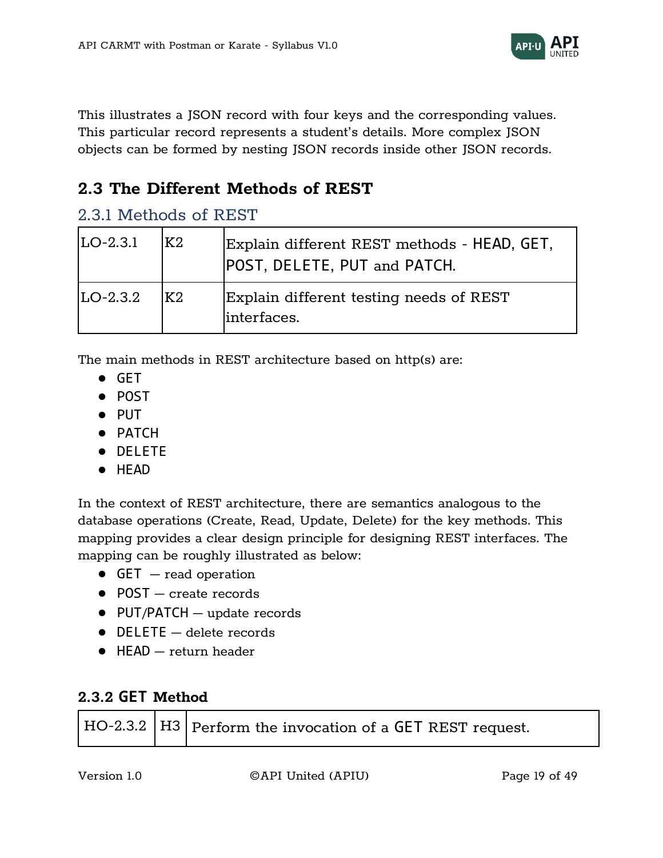

This illustrates a JSON record with four keys and the corresponding values. This particular record represents a student's details. More complex JSON objects can be formed by nesting JSON records inside other JSON records.

# <span id="page-18-0"></span>**2.3 The Different Methods of REST**

### <span id="page-18-1"></span>2.3.1 Methods of REST

| $ LO-2.3.1 $ | IK2. | Explain different REST methods - HEAD, GET,<br>POST, DELETE, PUT and PATCH. |
|--------------|------|-----------------------------------------------------------------------------|
| $LO-2.3.2$   | IK2  | Explain different testing needs of REST<br>linterfaces.                     |

The main methods in REST architecture based on http(s) are:

- GET
- POST
- PUT
- PATCH
- DELETE
- HEAD

In the context of REST architecture, there are semantics analogous to the database operations (Create, Read, Update, Delete) for the key methods. This mapping provides a clear design principle for designing REST interfaces. The mapping can be roughly illustrated as below:

- $\bullet$  GET  $-$  read operation
- POST create records
- PUT/PATCH update records
- DELETE delete records
- $\bullet$  HFAD  $-$  return header

#### <span id="page-18-2"></span>**2.3.2 GET Method**

|  | $\mid$ HO-2.3.2 $\mid$ H3 $\mid$ Perform the invocation of a GET REST request. |
|--|--------------------------------------------------------------------------------|
|--|--------------------------------------------------------------------------------|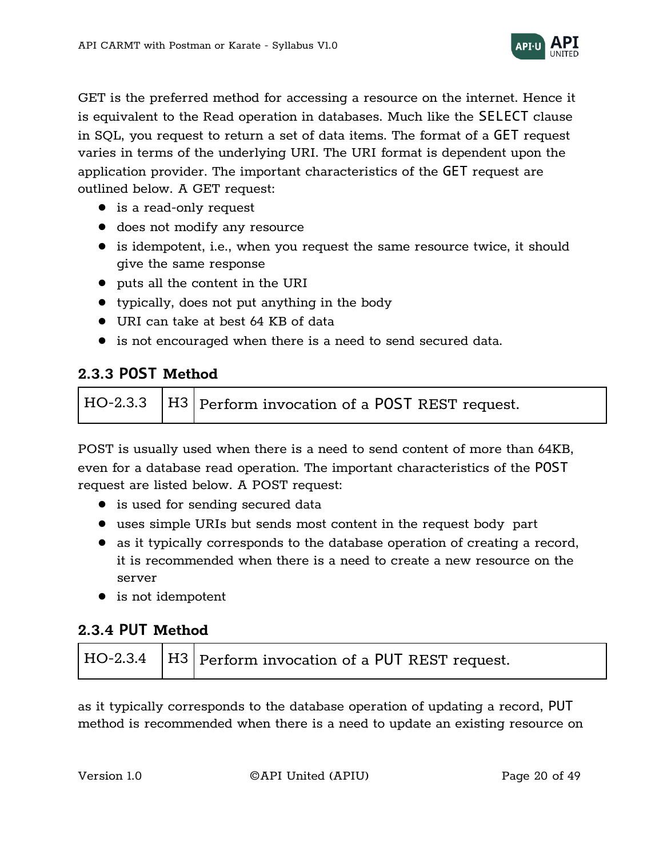

GET is the preferred method for accessing a resource on the internet. Hence it is equivalent to the Read operation in databases. Much like the SELECT clause in SQL, you request to return a set of data items. The format of a GET request varies in terms of the underlying URI. The URI format is dependent upon the application provider. The important characteristics of the GET request are outlined below. A GET request:

- is a read-only request
- does not modify any resource
- is idempotent, i.e., when you request the same resource twice, it should give the same response
- puts all the content in the URI
- typically, does not put anything in the body
- URI can take at best 64 KB of data
- is not encouraged when there is a need to send secured data.

### <span id="page-19-0"></span>**2.3.3 POST Method**



POST is usually used when there is a need to send content of more than 64KB, even for a database read operation. The important characteristics of the POST request are listed below. A POST request:

- is used for sending secured data
- uses simple URIs but sends most content in the request body part
- as it typically corresponds to the database operation of creating a record, it is recommended when there is a need to create a new resource on the server
- is not idempotent

### <span id="page-19-1"></span>**2.3.4 PUT Method**

|  |  | HO-2.3.4   H3   Perform invocation of a PUT REST request. |
|--|--|-----------------------------------------------------------|
|--|--|-----------------------------------------------------------|

as it typically corresponds to the database operation of updating a record, PUT method is recommended when there is a need to update an existing resource on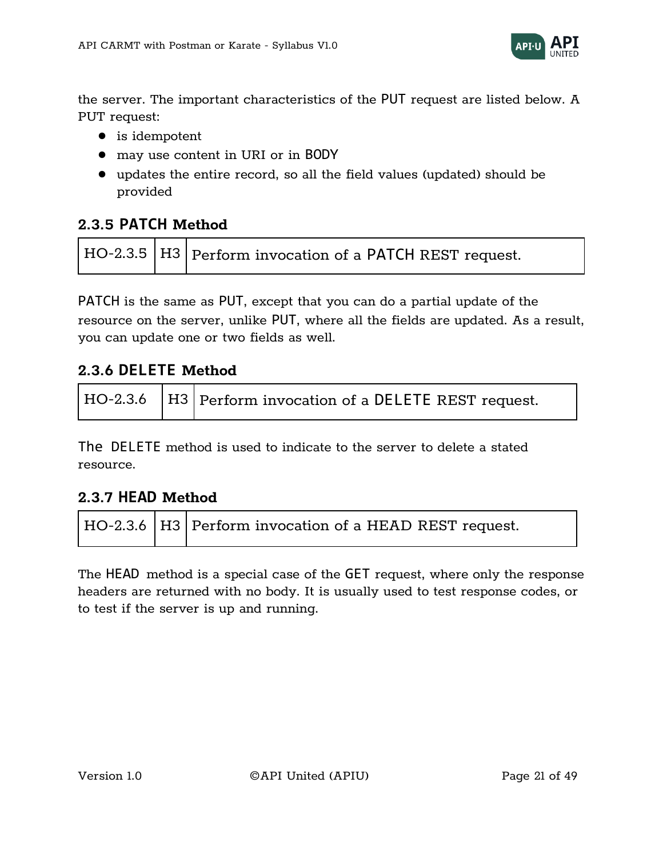

the server. The important characteristics of the PUT request are listed below. A PUT request:

- is idempotent
- may use content in URI or in BODY
- updates the entire record, so all the field values (updated) should be provided

#### <span id="page-20-0"></span>**2.3.5 PATCH Method**



PATCH is the same as PUT, except that you can do a partial update of the resource on the server, unlike PUT, where all the fields are updated. As a result, you can update one or two fields as well.

#### <span id="page-20-1"></span>**2.3.6 DELETE Method**

|  | $\vert$ HO-2.3.6 $\vert$ H3 $\vert$ Perform invocation of a <code>DELETE</code> REST request. |
|--|-----------------------------------------------------------------------------------------------|
|  |                                                                                               |

The DELETE method is used to indicate to the server to delete a stated resource.

#### <span id="page-20-2"></span>**2.3.7 HEAD Method**

|  |  | HO-2.3.6   H3   Perform invocation of a HEAD REST request. |
|--|--|------------------------------------------------------------|
|--|--|------------------------------------------------------------|

The HEAD method is a special case of the GET request, where only the response headers are returned with no body. It is usually used to test response codes, or to test if the server is up and running.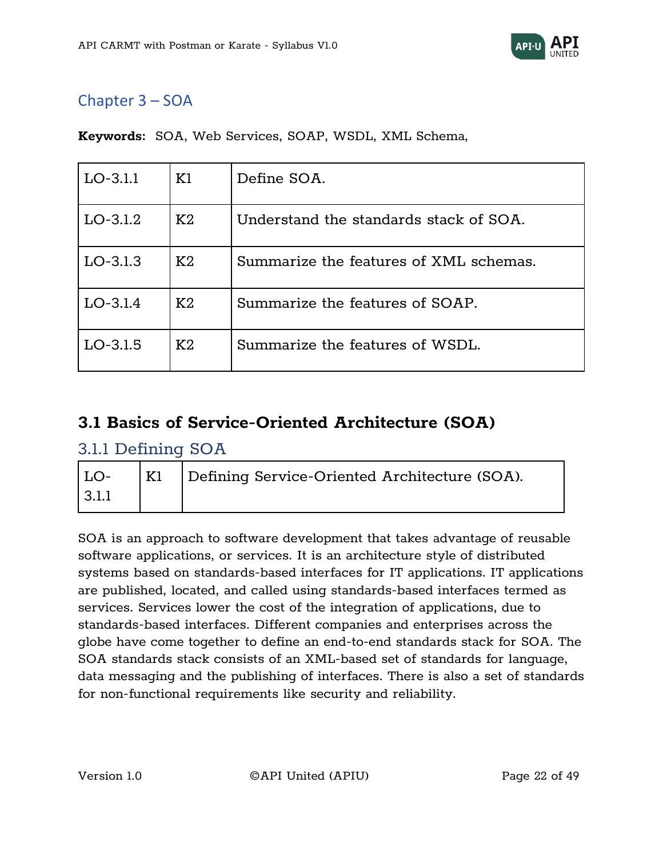

# <span id="page-21-0"></span>Chapter 3 – SOA

| $LO-3.1.1$ | K1 | Define SOA.                            |
|------------|----|----------------------------------------|
| $LO-3.1.2$ | K2 | Understand the standards stack of SOA. |
| $LO-3.1.3$ | K2 | Summarize the features of XML schemas. |
| $LO-3.1.4$ | K2 | Summarize the features of SOAP.        |
| $LO-3.1.5$ | K2 | Summarize the features of WSDL.        |

**Keywords:** SOA, Web Services, SOAP, WSDL, XML Schema,

# <span id="page-21-1"></span>**3.1 Basics of Service-Oriented Architecture (SOA)**

### <span id="page-21-2"></span>3.1.1 Defining SOA

| K1 | Defining Service-Oriented Architecture (SOA). |
|----|-----------------------------------------------|
|    |                                               |

SOA is an approach to software development that takes advantage of reusable software applications, or services. It is an architecture style of distributed systems based on standards-based interfaces for IT applications. IT applications are published, located, and called using standards-based interfaces termed as services. Services lower the cost of the integration of applications, due to standards-based interfaces. Different companies and enterprises across the globe have come together to define an end-to-end standards stack for SOA. The SOA standards stack consists of an XML-based set of standards for language, data messaging and the publishing of interfaces. There is also a set of standards for non-functional requirements like security and reliability.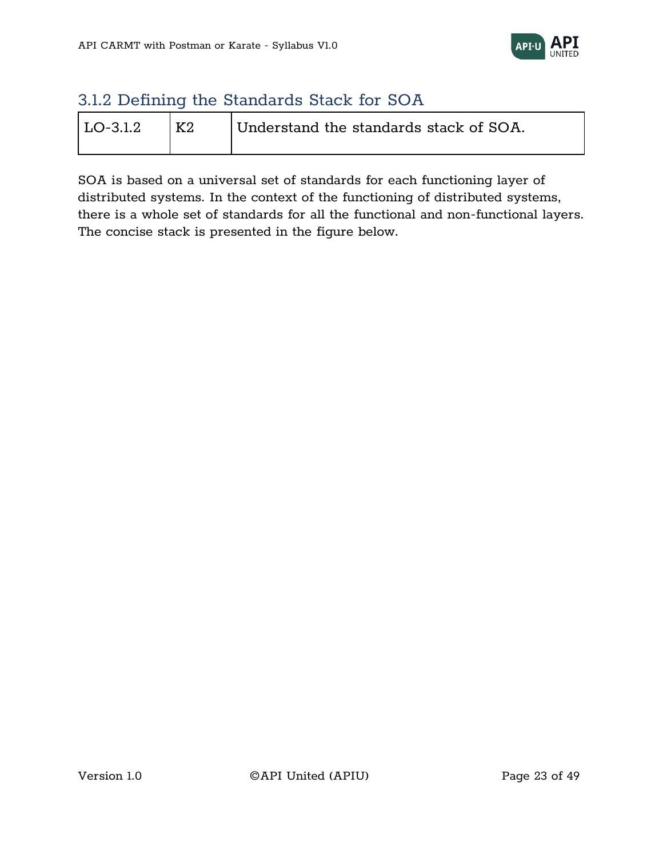

# <span id="page-22-0"></span>3.1.2 Defining the Standards Stack for SOA

| LO-3.1.2 | K2 | Understand the standards stack of SOA. |
|----------|----|----------------------------------------|
|          |    |                                        |

SOA is based on a universal set of standards for each functioning layer of distributed systems. In the context of the functioning of distributed systems, there is a whole set of standards for all the functional and non-functional layers. The concise stack is presented in the figure below.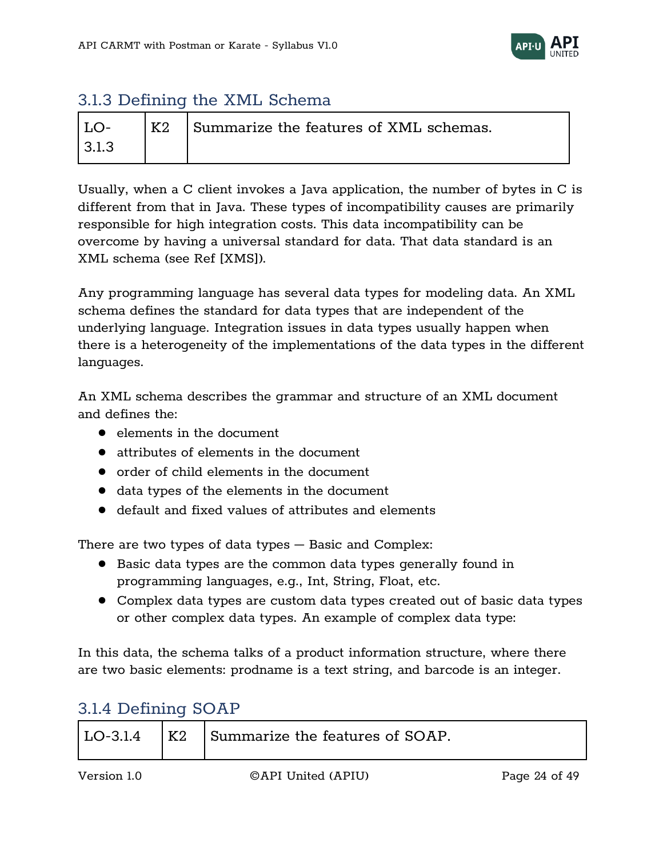

# <span id="page-23-0"></span>3.1.3 Defining the XML Schema

|       | K2 | Summarize the features of XML schemas. |
|-------|----|----------------------------------------|
| ? 1 ? |    |                                        |

Usually, when a C client invokes a Java application, the number of bytes in C is different from that in Java. These types of incompatibility causes are primarily responsible for high integration costs. This data incompatibility can be overcome by having a universal standard for data. That data standard is an XML schema (see Ref [XMS]).

Any programming language has several data types for modeling data. An XML schema defines the standard for data types that are independent of the underlying language. Integration issues in data types usually happen when there is a heterogeneity of the implementations of the data types in the different languages.

An XML schema describes the grammar and structure of an XML document and defines the:

- elements in the document
- attributes of elements in the document
- order of child elements in the document
- data types of the elements in the document
- default and fixed values of attributes and elements

There are two types of data types – Basic and Complex:

- Basic data types are the common data types generally found in programming languages, e.g., Int, String, Float, etc.
- Complex data types are custom data types created out of basic data types or other complex data types. An example of complex data type:

In this data, the schema talks of a product information structure, where there are two basic elements: prodname is a text string, and barcode is an integer.

# <span id="page-23-1"></span>3.1.4 Defining SOAP

| K2<br>$11.0 - 314$ | Summarize the features of SOAP. |
|--------------------|---------------------------------|
|--------------------|---------------------------------|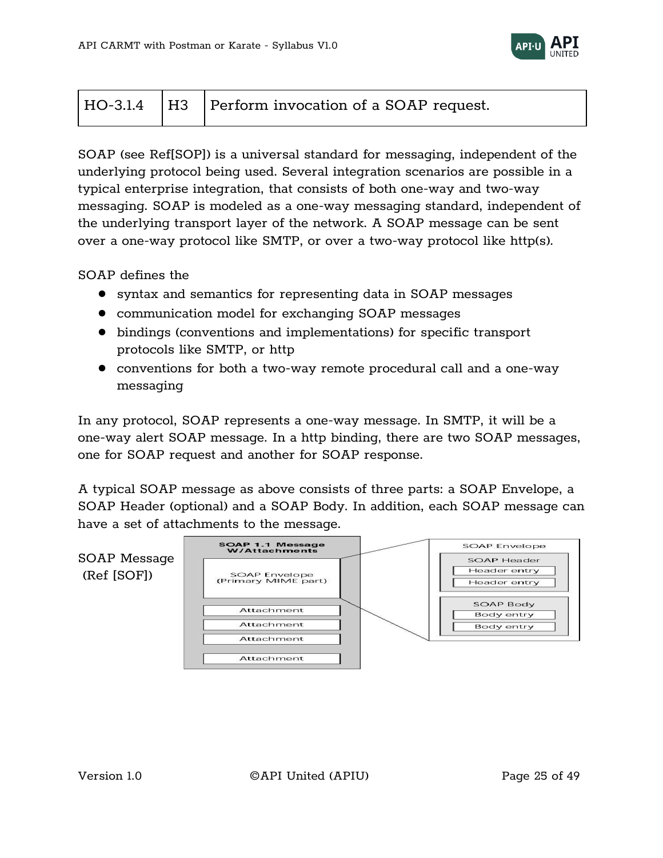

|  |  | $\vert$ HO-3.1.4 $\vert$ H3 $\vert$ Perform invocation of a SOAP request. |
|--|--|---------------------------------------------------------------------------|
|--|--|---------------------------------------------------------------------------|

SOAP (see Ref[SOP]) is a universal standard for messaging, independent of the underlying protocol being used. Several integration scenarios are possible in a typical enterprise integration, that consists of both one-way and two-way messaging. SOAP is modeled as a one-way messaging standard, independent of the underlying transport layer of the network. A SOAP message can be sent over a one-way protocol like SMTP, or over a two-way protocol like http(s).

SOAP defines the

- syntax and semantics for representing data in SOAP messages
- communication model for exchanging SOAP messages
- bindings (conventions and implementations) for specific transport protocols like SMTP, or http
- conventions for both a two-way remote procedural call and a one-way messaging

In any protocol, SOAP represents a one-way message. In SMTP, it will be a one-way alert SOAP message. In a http binding, there are two SOAP messages, one for SOAP request and another for SOAP response.

A typical SOAP message as above consists of three parts: a SOAP Envelope, a SOAP Header (optional) and a SOAP Body. In addition, each SOAP message can have a set of attachments to the message.

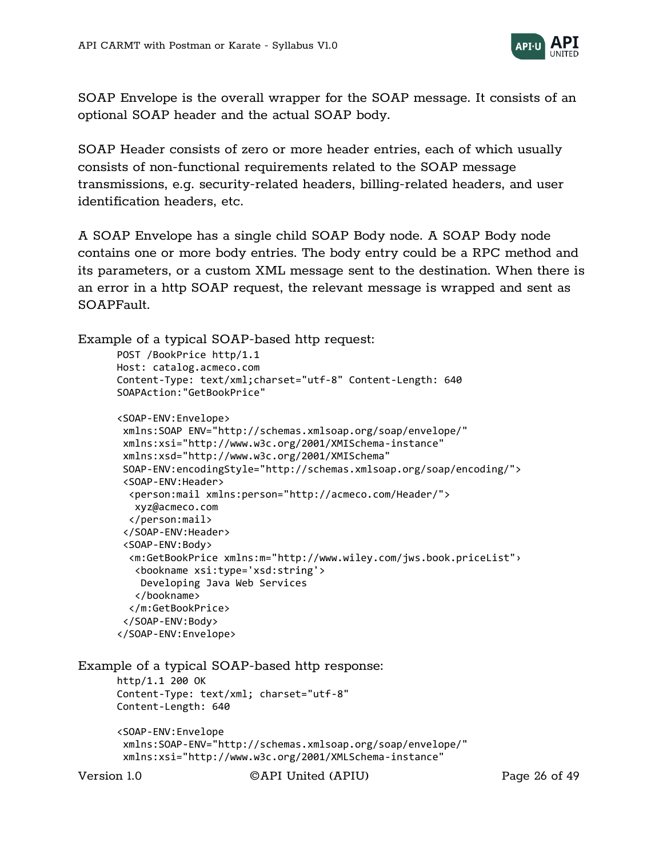

SOAP Envelope is the overall wrapper for the SOAP message. It consists of an optional SOAP header and the actual SOAP body.

SOAP Header consists of zero or more header entries, each of which usually consists of non-functional requirements related to the SOAP message transmissions, e.g. security-related headers, billing-related headers, and user identification headers, etc.

A SOAP Envelope has a single child SOAP Body node. A SOAP Body node contains one or more body entries. The body entry could be a RPC method and its parameters, or a custom XML message sent to the destination. When there is an error in a http SOAP request, the relevant message is wrapped and sent as SOAPFault.

```
Example of a typical SOAP-based http request:
```

```
POST /BookPrice http/1.1
Host: catalog.acmeco.com
Content-Type: text/xml;charset="utf-8" Content-Length: 640 
SOAPAction:"GetBookPrice"
<SOAP-ENV:Envelope>
xmlns:SOAP ENV="http://schemas.xmlsoap.org/soap/envelope/" 
xmlns:xsi="http://www.w3c.org/2001/XMISchema-instance" 
xmlns:xsd="http://www.w3c.org/2001/XMISchema"
SOAP-ENV:encodingStyle="http://schemas.xmlsoap.org/soap/encoding/">
 <SOAP-ENV:Header>
   <person:mail xmlns:person="http://acmeco.com/Header/">
   xyz@acmeco.com 
   </person:mail> 
 </SOAP-ENV:Header> 
 <SOAP-ENV:Body>
   <m:GetBookPrice xmlns:m="http://www.wiley.com/jws.book.priceList"›
    <bookname xsi:type='xsd:string'>
    Developing Java Web Services
    </bookname>
   </m:GetBookPrice> 
 </SOAP-ENV:Body> 
</SOAP-ENV:Envelope>
```
Example of a typical SOAP-based http response:

http/1.1 200 OK Content-Type: text/xml; charset="utf-8" Content-Length: 640

```
<SOAP-ENV:Envelope 
xmlns:SOAP-ENV="http://schemas.xmlsoap.org/soap/envelope/" 
xmlns:xsi="http://www.w3c.org/2001/XMLSchema-instance"
```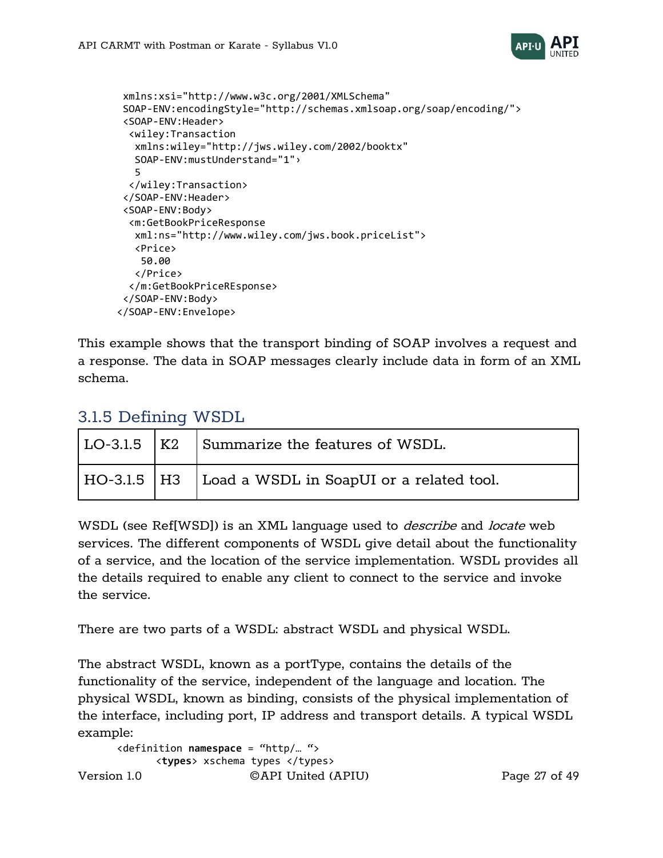

```
xmlns:xsi="http://www.w3c.org/2001/XMLSchema" 
SOAP-ENV:encodingStyle="http://schemas.xmlsoap.org/soap/encoding/"> 
 <SOAP-ENV:Header>
   <wiley:Transaction
    xmlns:wiley="http://jws.wiley.com/2002/booktx" 
    SOAP-ENV:mustUnderstand="1"›
    5
   </wiley:Transaction>
 </SOAP-ENV:Header>
 <SOAP-ENV:Body>
   <m:GetBookPriceResponse
    xml:ns="http://www.wiley.com/jws.book.priceList"> 
    <Price>
    50.00
    </Price>
   </m:GetBookPriceREsponse>
 </SOAP-ENV:Body>
</SOAP-ENV:Envelope>
```
This example shows that the transport binding of SOAP involves a request and a response. The data in SOAP messages clearly include data in form of an XML schema.

|  | $ $ LO-3.1.5 $ $ K2 $ $ Summarize the features of WSDL.  |
|--|----------------------------------------------------------|
|  | HO-3.1.5   H3   Load a WSDL in SoapUI or a related tool. |

### <span id="page-26-0"></span>3.1.5 Defining WSDL

WSDL (see Ref[WSD]) is an XML language used to *describe* and *locate* web services. The different components of WSDL give detail about the functionality of a service, and the location of the service implementation. WSDL provides all the details required to enable any client to connect to the service and invoke the service.

There are two parts of a WSDL: abstract WSDL and physical WSDL.

The abstract WSDL, known as a portType, contains the details of the functionality of the service, independent of the language and location. The physical WSDL, known as binding, consists of the physical implementation of the interface, including port, IP address and transport details. A typical WSDL example:

```
Version 1.0 ©API United (APIU) Page 27 of 49
    <definition namespace = "http/… ">
         <types> xschema types </types>
```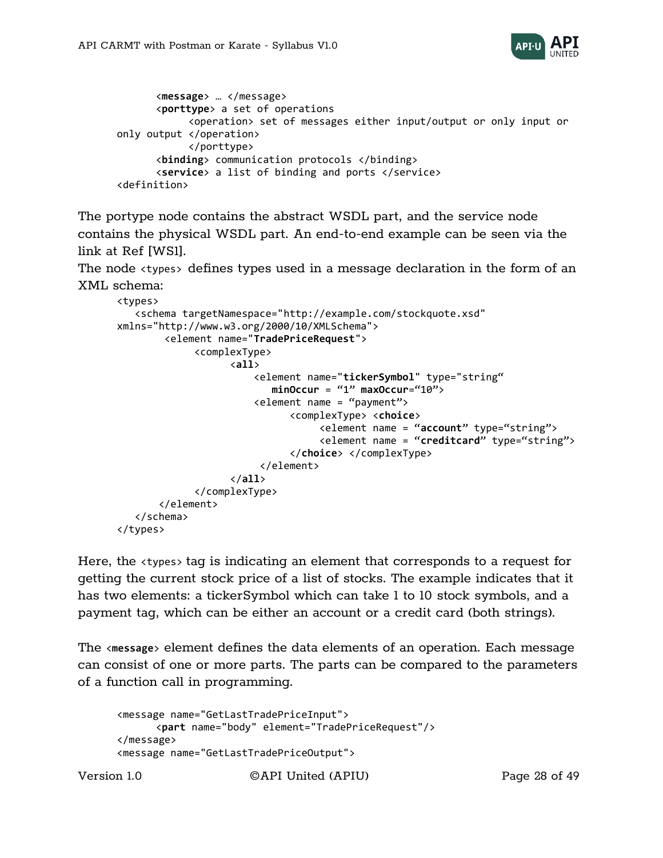

```
<message> … </message>
      <porttype> a set of operations
             <operation> set of messages either input/output or only input or 
only output </operation>
             </porttype>
      <binding> communication protocols </binding>
      <service> a list of binding and ports </service>
<definition>
```
The portype node contains the abstract WSDL part, and the service node contains the physical WSDL part. An end-to-end example can be seen via the link at Ref [WS1].

The node <types> defines types used in a message declaration in the form of an XML schema:

```
<types> 
    <schema targetNamespace="http://example.com/stockquote.xsd" 
xmlns="http://www.w3.org/2000/10/XMLSchema"> 
         <element name="TradePriceRequest"> 
               <complexType> 
                     <all> 
                          <element name="tickerSymbol" type="string"
                             minOccur = "1" maxOccur="10"> 
                          <element name = "payment">
                                <complexType> <choice>
                                     <element name = "account" type="string">
                                     <element name = "creditcard" type="string">
                                </choice> </complexType>
                          </element>
                     </all> 
               </complexType> 
        </element> 
    </schema> 
</types>
```
Here, the <types> tag is indicating an element that corresponds to a request for getting the current stock price of a list of stocks. The example indicates that it has two elements: a tickerSymbol which can take 1 to 10 stock symbols, and a payment tag, which can be either an account or a credit card (both strings).

The <**message**> element defines the data elements of an operation. Each message can consist of one or more parts. The parts can be compared to the parameters of a function call in programming.

```
<message name="GetLastTradePriceInput"> 
      <part name="body" element="TradePriceRequest"/> 
</message> 
<message name="GetLastTradePriceOutput">
```
Version 1.0 ©API United (APIU) Page 28 of 49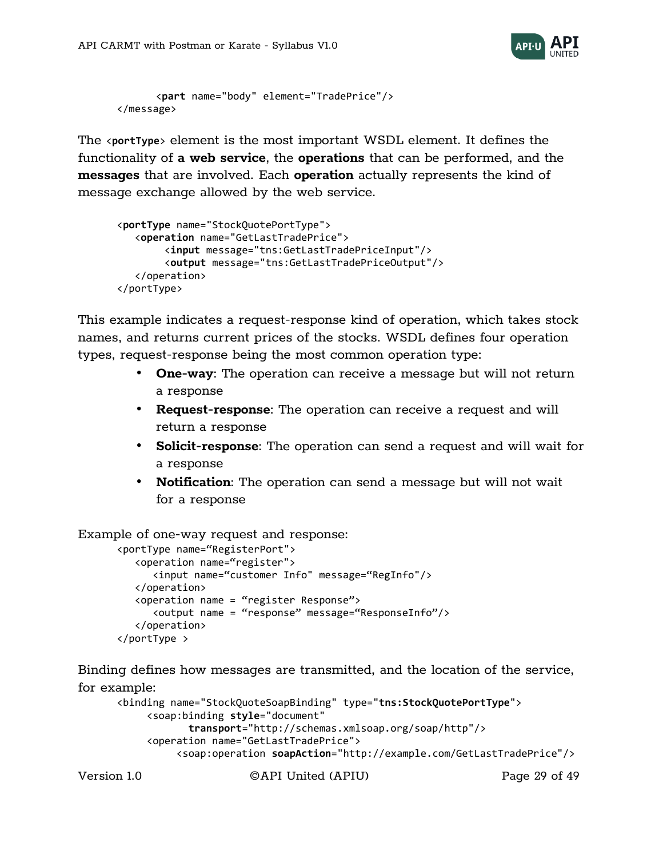

```
<part name="body" element="TradePrice"/> 
</message>
```
The <**portType**> element is the most important WSDL element. It defines the functionality of **a web service**, the **operations** that can be performed, and the **messages** that are involved. Each **operation** actually represents the kind of message exchange allowed by the web service.

```
<portType name="StockQuotePortType"> 
    <operation name="GetLastTradePrice"> 
         <input message="tns:GetLastTradePriceInput"/> 
         <output message="tns:GetLastTradePriceOutput"/> 
    </operation> 
</portType>
```
This example indicates a request-response kind of operation, which takes stock names, and returns current prices of the stocks. WSDL defines four operation types, request-response being the most common operation type:

- **One-way**: The operation can receive a message but will not return a response
- **Request-response**: The operation can receive a request and will return a response
- **Solicit-response**: The operation can send a request and will wait for a response
- **Notification**: The operation can send a message but will not wait for a response

Example of one-way request and response:

```
<portType name="RegisterPort">
    <operation name="register">
       <input name="customer Info" message="RegInfo"/>
    </operation>
    <operation name = "register Response">
       <output name = "response" message="ResponseInfo"/>
    </operation>
</portType >
```
Binding defines how messages are transmitted, and the location of the service, for example:

```
<binding name="StockQuoteSoapBinding" type="tns:StockQuotePortType"> 
      <soap:binding style="document" 
             transport="http://schemas.xmlsoap.org/soap/http"/> 
      <operation name="GetLastTradePrice"> 
           <soap:operation soapAction="http://example.com/GetLastTradePrice"/>
```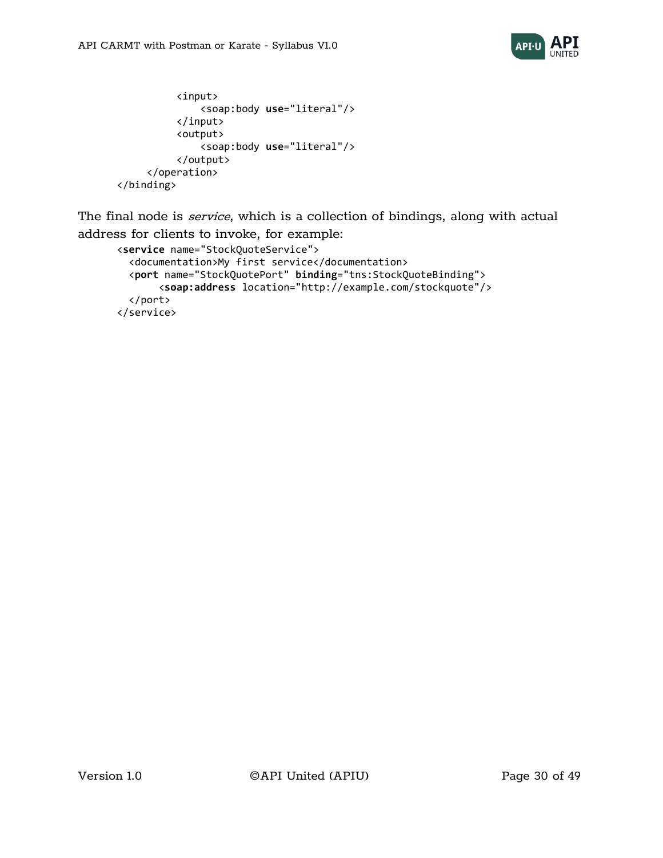

```
 <input> 
                 <soap:body use="literal"/> 
            </input> 
            <output> 
                 <soap:body use="literal"/> 
            </output> 
      </operation> 
</binding>
```
The final node is *service*, which is a collection of bindings, along with actual address for clients to invoke, for example:

```
<service name="StockQuoteService"> 
   <documentation>My first service</documentation> 
   <port name="StockQuotePort" binding="tns:StockQuoteBinding"> 
        <soap:address location="http://example.com/stockquote"/> 
   </port> 
</service>
```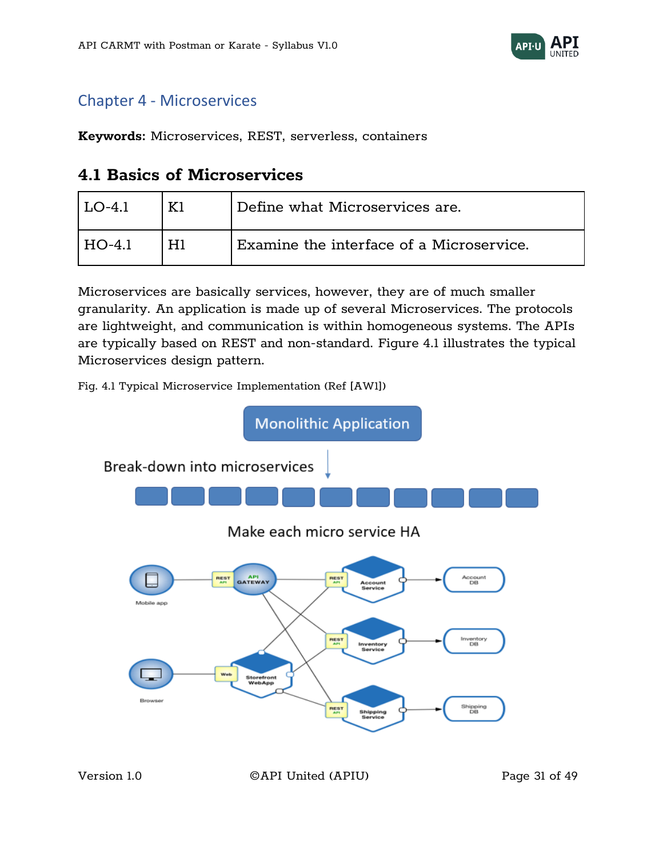

# <span id="page-30-0"></span>Chapter 4 - Microservices

<span id="page-30-1"></span>**Keywords:** Microservices, REST, serverless, containers

## **4.1 Basics of Microservices**

| $LO-4$ 1 | Define what Microservices are.                      |
|----------|-----------------------------------------------------|
| I HO-4.1 | $^\dagger$ Examine the interface of a Microservice. |

Microservices are basically services, however, they are of much smaller granularity. An application is made up of several Microservices. The protocols are lightweight, and communication is within homogeneous systems. The APIs are typically based on REST and non-standard. Figure 4.1 illustrates the typical Microservices design pattern.



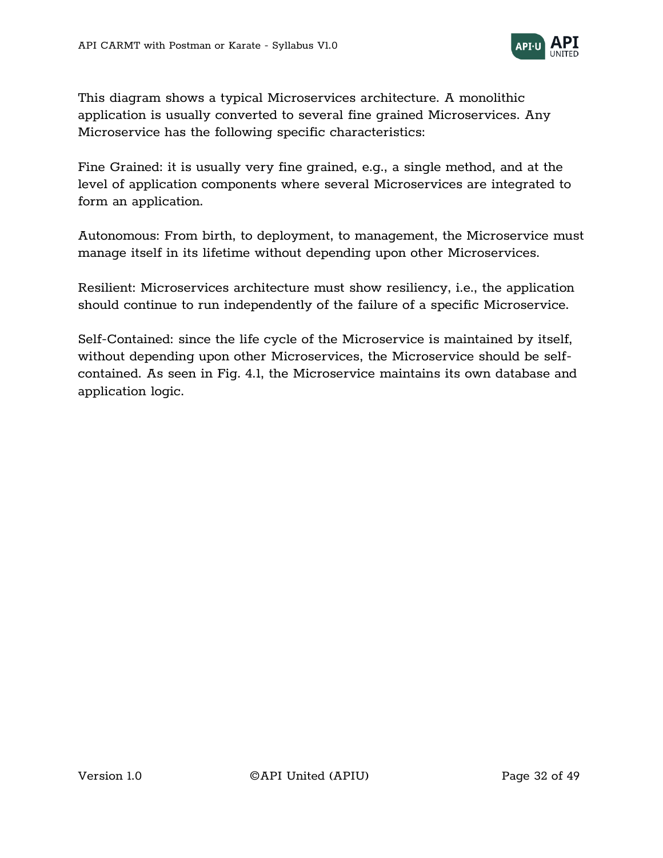

This diagram shows a typical Microservices architecture. A monolithic application is usually converted to several fine grained Microservices. Any Microservice has the following specific characteristics:

Fine Grained: it is usually very fine grained, e.g., a single method, and at the level of application components where several Microservices are integrated to form an application.

Autonomous: From birth, to deployment, to management, the Microservice must manage itself in its lifetime without depending upon other Microservices.

Resilient: Microservices architecture must show resiliency, i.e., the application should continue to run independently of the failure of a specific Microservice.

Self-Contained: since the life cycle of the Microservice is maintained by itself, without depending upon other Microservices, the Microservice should be selfcontained. As seen in Fig. 4.1, the Microservice maintains its own database and application logic.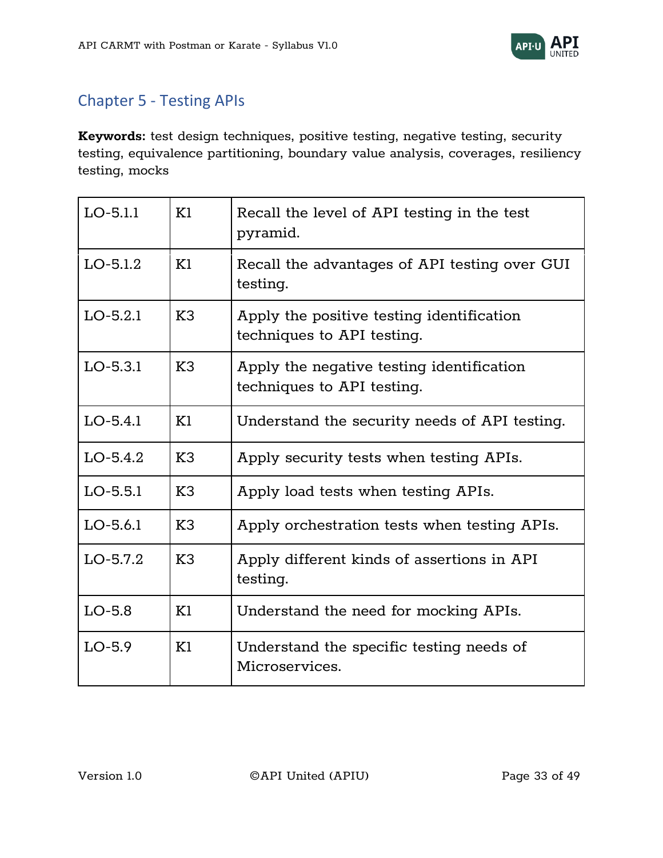

# <span id="page-32-0"></span>Chapter 5 - Testing APIs

**Keywords:** test design techniques, positive testing, negative testing, security testing, equivalence partitioning, boundary value analysis, coverages, resiliency testing, mocks

| $LO-5.1.1$ | K1             | Recall the level of API testing in the test<br>pyramid.                 |
|------------|----------------|-------------------------------------------------------------------------|
| $LO-5.1.2$ | K1             | Recall the advantages of API testing over GUI<br>testing.               |
| $LO-5.2.1$ | K <sub>3</sub> | Apply the positive testing identification<br>techniques to API testing. |
| $LO-5.3.1$ | K3             | Apply the negative testing identification<br>techniques to API testing. |
| $LO-5.4.1$ | K1             | Understand the security needs of API testing.                           |
| $LO-5.4.2$ | K3             | Apply security tests when testing APIs.                                 |
| $LO-5.5.1$ | K3             | Apply load tests when testing APIs.                                     |
| $LO-5.6.1$ | K <sub>3</sub> | Apply orchestration tests when testing APIs.                            |
| $LO-5.7.2$ | K3             | Apply different kinds of assertions in API<br>testing.                  |
| $LO-5.8$   | K1             | Understand the need for mocking APIs.                                   |
| $LO-5.9$   | K1             | Understand the specific testing needs of<br>Microservices.              |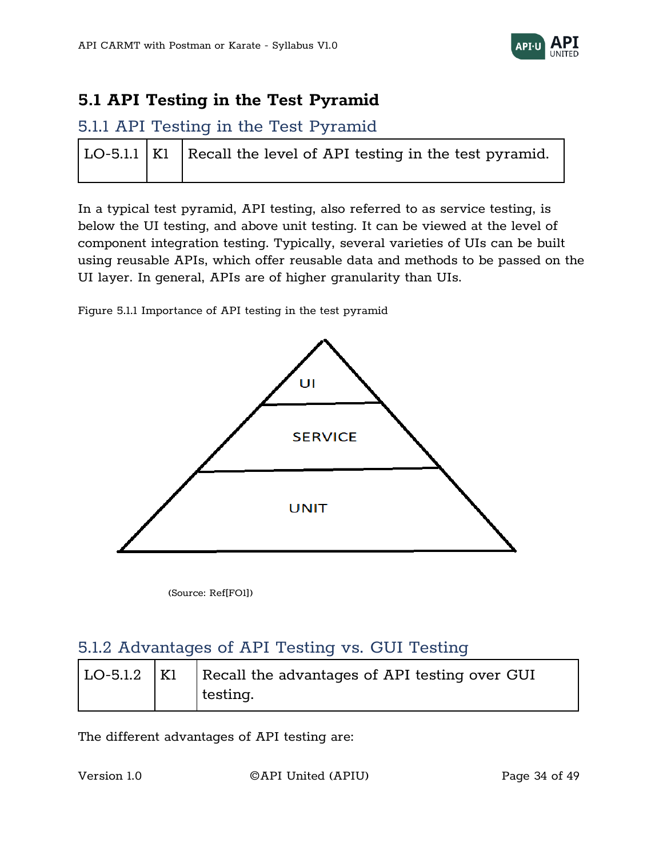

## <span id="page-33-0"></span>**5.1 API Testing in the Test Pyramid**

### <span id="page-33-1"></span>5.1.1 API Testing in the Test Pyramid

|  | $ $ LO-5.1.1 $ $ K1 $ $ Recall the level of API testing in the test pyramid. |
|--|------------------------------------------------------------------------------|
|  |                                                                              |

In a typical test pyramid, API testing, also referred to as service testing, is below the UI testing, and above unit testing. It can be viewed at the level of component integration testing. Typically, several varieties of UIs can be built using reusable APIs, which offer reusable data and methods to be passed on the UI layer. In general, APIs are of higher granularity than UIs.

Figure 5.1.1 Importance of API testing in the test pyramid



(Source: Ref[FO1])

### <span id="page-33-2"></span>5.1.2 Advantages of API Testing vs. GUI Testing

|  | $\vert$ LO-5.1.2 $\vert$ K1 $\vert$ Recall the advantages of API testing over GUI |
|--|-----------------------------------------------------------------------------------|
|  | testing.                                                                          |

The different advantages of API testing are:

Version 1.0 ©API United (APIU) Page 34 of 49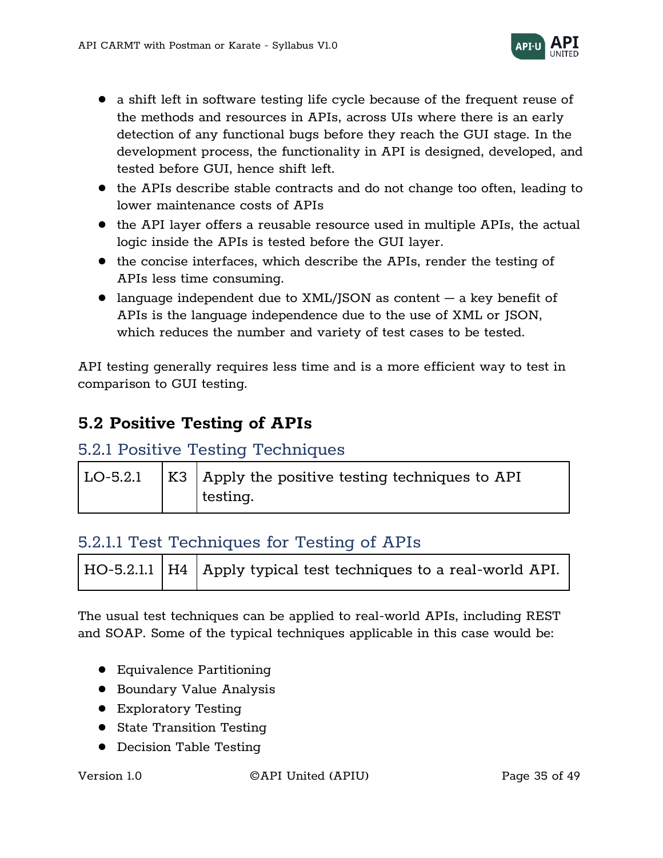

- a shift left in software testing life cycle because of the frequent reuse of the methods and resources in APIs, across UIs where there is an early detection of any functional bugs before they reach the GUI stage. In the development process, the functionality in API is designed, developed, and tested before GUI, hence shift left.
- the APIs describe stable contracts and do not change too often, leading to lower maintenance costs of APIs
- the API layer offers a reusable resource used in multiple APIs, the actual logic inside the APIs is tested before the GUI layer.
- the concise interfaces, which describe the APIs, render the testing of APIs less time consuming.
- language independent due to  $XML/JSON$  as content  $-$  a key benefit of APIs is the language independence due to the use of XML or JSON, which reduces the number and variety of test cases to be tested.

API testing generally requires less time and is a more efficient way to test in comparison to GUI testing.

# <span id="page-34-0"></span>**5.2 Positive Testing of APIs**

### <span id="page-34-1"></span>5.2.1 Positive Testing Techniques

|  | LO-5.2.1   K3   Apply the positive testing techniques to API |
|--|--------------------------------------------------------------|
|  | testing.                                                     |

## <span id="page-34-2"></span>5.2.1.1 Test Techniques for Testing of APIs

| $\vert$ HO-5.2.1.1 $\vert$ H4 $\vert$ Apply typical test techniques to a real-world API. |  |
|------------------------------------------------------------------------------------------|--|
|------------------------------------------------------------------------------------------|--|

The usual test techniques can be applied to real-world APIs, including REST and SOAP. Some of the typical techniques applicable in this case would be:

- Equivalence Partitioning
- Boundary Value Analysis
- Exploratory Testing
- State Transition Testing
- Decision Table Testing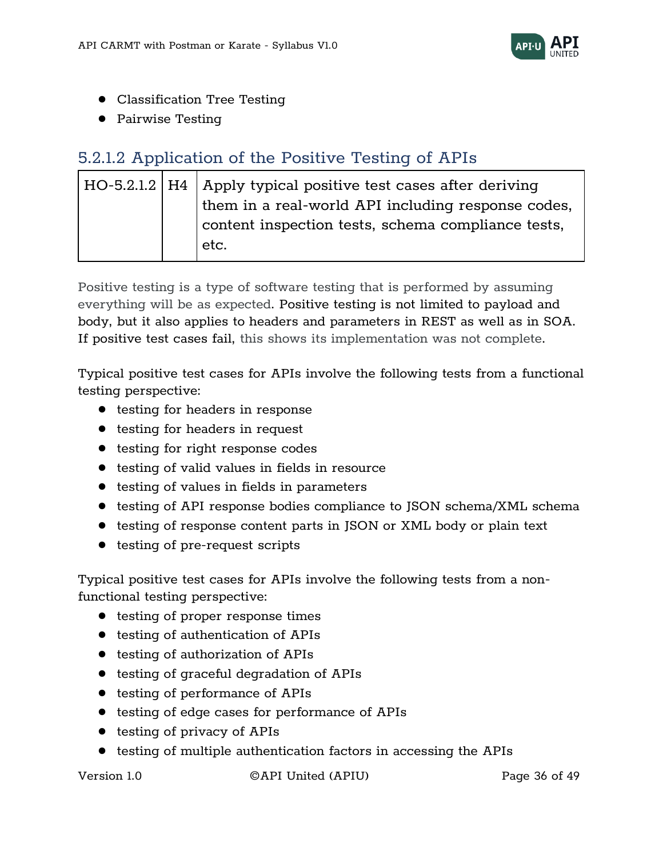

- Classification Tree Testing
- Pairwise Testing

# <span id="page-35-0"></span>5.2.1.2 Application of the Positive Testing of APIs

|  | $\vert$ HO-5.2.1.2 $\vert$ H4 $\vert$ Apply typical positive test cases after deriving |
|--|----------------------------------------------------------------------------------------|
|  | them in a real-world API including response codes,                                     |
|  | content inspection tests, schema compliance tests,                                     |
|  | etc.                                                                                   |
|  |                                                                                        |

Positive testing is a type of software testing that is performed by assuming everything will be as expected. Positive testing is not limited to payload and body, but it also applies to headers and parameters in REST as well as in SOA. If positive test cases fail, this shows its implementation was not complete.

Typical positive test cases for APIs involve the following tests from a functional testing perspective:

- testing for headers in response
- testing for headers in request
- testing for right response codes
- testing of valid values in fields in resource
- testing of values in fields in parameters
- testing of API response bodies compliance to JSON schema/XML schema
- testing of response content parts in JSON or XML body or plain text
- testing of pre-request scripts

Typical positive test cases for APIs involve the following tests from a nonfunctional testing perspective:

- testing of proper response times
- testing of authentication of APIs
- testing of authorization of APIs
- testing of graceful degradation of APIs
- testing of performance of APIs
- testing of edge cases for performance of APIs
- testing of privacy of APIs
- testing of multiple authentication factors in accessing the APIs

Version 1.0 ©API United (APIU) Page 36 of 49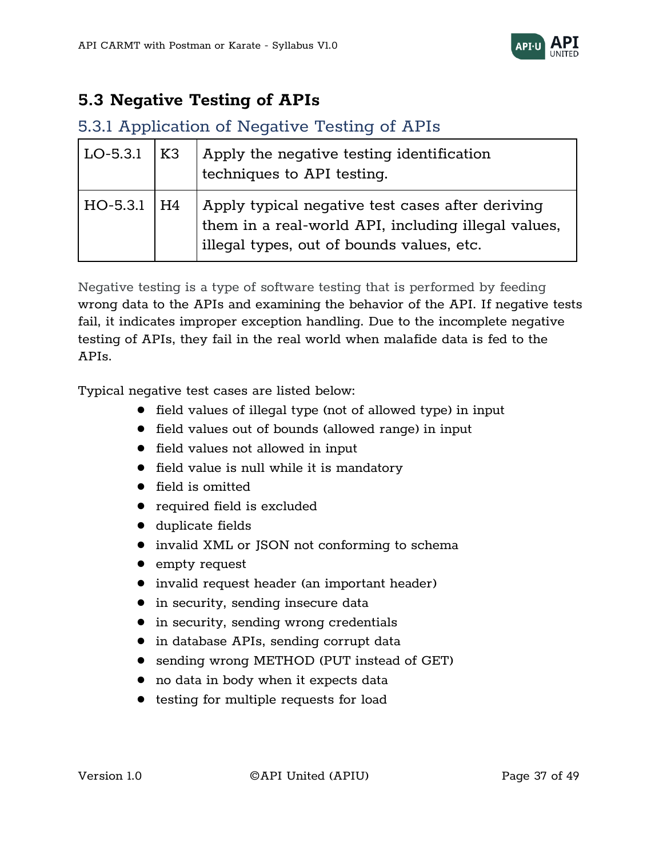

# <span id="page-36-0"></span>**5.3 Negative Testing of APIs**

#### <span id="page-36-1"></span>5.3.1 Application of Negative Testing of APIs

| LO-5.3.1        | K3 | Apply the negative testing identification<br>techniques to API testing.                                                                              |
|-----------------|----|------------------------------------------------------------------------------------------------------------------------------------------------------|
| $HO-5.3.1$   H4 |    | Apply typical negative test cases after deriving<br>them in a real-world API, including illegal values,<br>illegal types, out of bounds values, etc. |

Negative testing is a type of software testing that is performed by feeding wrong data to the APIs and examining the behavior of the API. If negative tests fail, it indicates improper exception handling. Due to the incomplete negative testing of APIs, they fail in the real world when malafide data is fed to the APIs.

Typical negative test cases are listed below:

- field values of illegal type (not of allowed type) in input
- field values out of bounds (allowed range) in input
- field values not allowed in input
- field value is null while it is mandatory
- field is omitted
- required field is excluded
- duplicate fields
- invalid XML or JSON not conforming to schema
- empty request
- invalid request header (an important header)
- in security, sending insecure data
- in security, sending wrong credentials
- in database APIs, sending corrupt data
- sending wrong METHOD (PUT instead of GET)
- no data in body when it expects data
- testing for multiple requests for load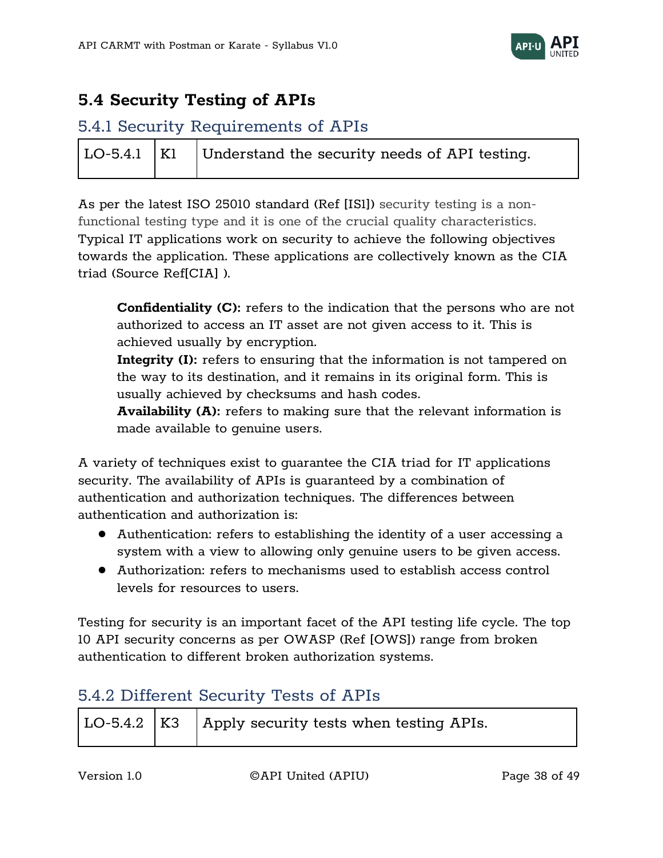

# <span id="page-37-0"></span>**5.4 Security Testing of APIs**

# <span id="page-37-1"></span>5.4.1 Security Requirements of APIs

|  | $\vert$ LO-5.4.1 $\vert$ K1 $\vert$ Understand the security needs of API testing. |
|--|-----------------------------------------------------------------------------------|
|  |                                                                                   |

As per the latest ISO 25010 standard (Ref [IS1]) security testing is a nonfunctional testing type and it is one of the crucial quality characteristics. Typical IT applications work on security to achieve the following objectives towards the application. These applications are collectively known as the CIA triad (Source Ref[CIA] ).

**Confidentiality (C):** refers to the indication that the persons who are not authorized to access an IT asset are not given access to it. This is achieved usually by encryption.

**Integrity (I):** refers to ensuring that the information is not tampered on the way to its destination, and it remains in its original form. This is usually achieved by checksums and hash codes.

**Availability (A):** refers to making sure that the relevant information is made available to genuine users.

A variety of techniques exist to guarantee the CIA triad for IT applications security. The availability of APIs is guaranteed by a combination of authentication and authorization techniques. The differences between authentication and authorization is:

- Authentication: refers to establishing the identity of a user accessing a system with a view to allowing only genuine users to be given access.
- Authorization: refers to mechanisms used to establish access control levels for resources to users.

Testing for security is an important facet of the API testing life cycle. The top 10 API security concerns as per OWASP (Ref [OWS]) range from broken authentication to different broken authorization systems.

# <span id="page-37-2"></span>5.4.2 Different Security Tests of APIs

|  |  | LO-5.4.2   K3   Apply security tests when testing APIs. |  |
|--|--|---------------------------------------------------------|--|
|--|--|---------------------------------------------------------|--|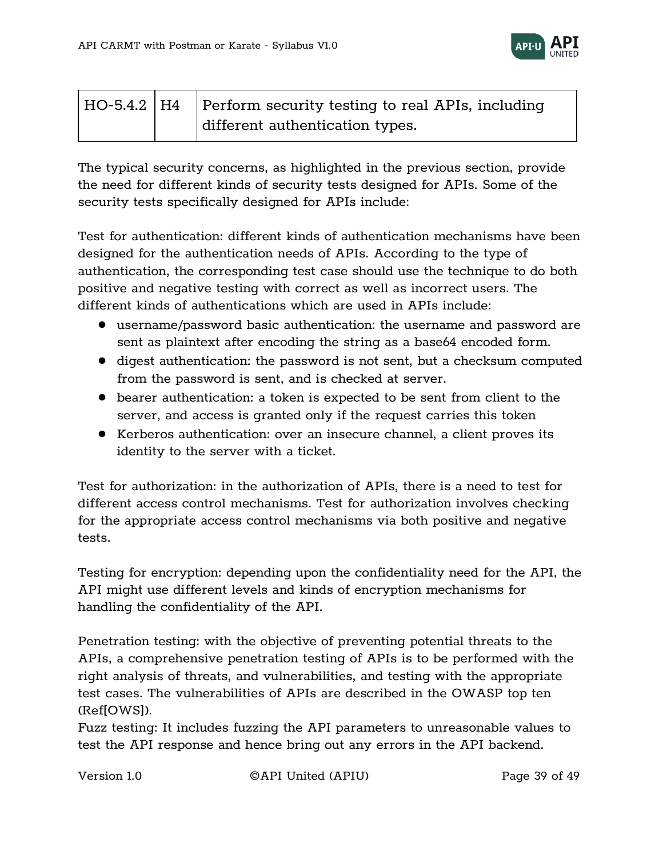

|  | HO-5.4.2   H4   Perform security testing to real APIs, including |
|--|------------------------------------------------------------------|
|  | different authentication types.                                  |

The typical security concerns, as highlighted in the previous section, provide the need for different kinds of security tests designed for APIs. Some of the security tests specifically designed for APIs include:

Test for authentication: different kinds of authentication mechanisms have been designed for the authentication needs of APIs. According to the type of authentication, the corresponding test case should use the technique to do both positive and negative testing with correct as well as incorrect users. The different kinds of authentications which are used in APIs include:

- username/password basic authentication: the username and password are sent as plaintext after encoding the string as a base64 encoded form.
- digest authentication: the password is not sent, but a checksum computed from the password is sent, and is checked at server.
- bearer authentication: a token is expected to be sent from client to the server, and access is granted only if the request carries this token
- Kerberos authentication: over an insecure channel, a client proves its identity to the server with a ticket.

Test for authorization: in the authorization of APIs, there is a need to test for different access control mechanisms. Test for authorization involves checking for the appropriate access control mechanisms via both positive and negative tests.

Testing for encryption: depending upon the confidentiality need for the API, the API might use different levels and kinds of encryption mechanisms for handling the confidentiality of the API.

Penetration testing: with the objective of preventing potential threats to the APIs, a comprehensive penetration testing of APIs is to be performed with the right analysis of threats, and vulnerabilities, and testing with the appropriate test cases. The vulnerabilities of APIs are described in the OWASP top ten (Ref[OWS]).

Fuzz testing: It includes fuzzing the API parameters to unreasonable values to test the API response and hence bring out any errors in the API backend.

Version 1.0 ©API United (APIU) Page 39 of 49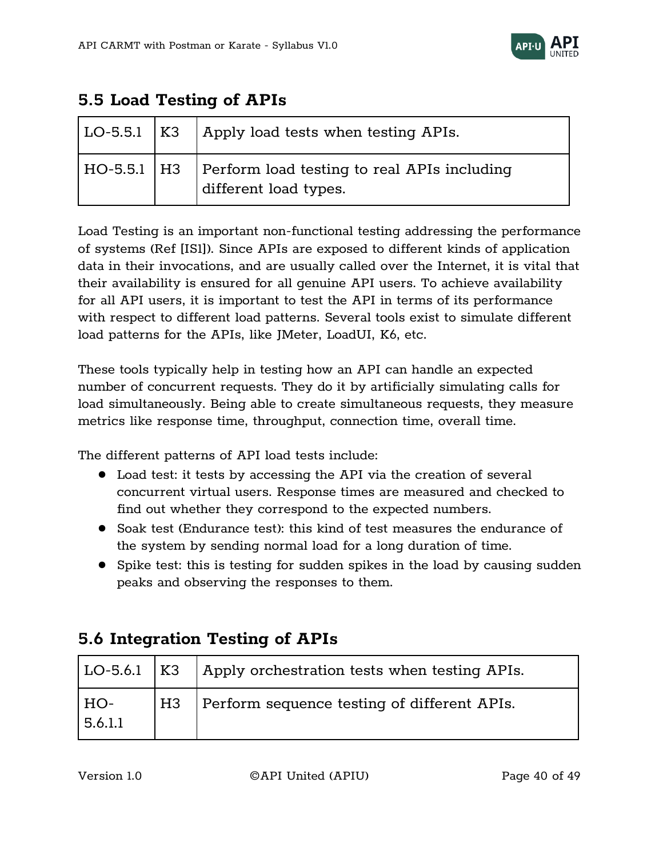

# <span id="page-39-0"></span>**5.5 Load Testing of APIs**

|  | LO-5.5.1   K3   Apply load tests when testing APIs.                                  |
|--|--------------------------------------------------------------------------------------|
|  | HO-5.5.1   H3   Perform load testing to real APIs including<br>different load types. |

Load Testing is an important non-functional testing addressing the performance of systems (Ref [IS1]). Since APIs are exposed to different kinds of application data in their invocations, and are usually called over the Internet, it is vital that their availability is ensured for all genuine API users. To achieve availability for all API users, it is important to test the API in terms of its performance with respect to different load patterns. Several tools exist to simulate different load patterns for the APIs, like JMeter, LoadUI, K6, etc.

These tools typically help in testing how an API can handle an expected number of concurrent requests. They do it by artificially simulating calls for load simultaneously. Being able to create simultaneous requests, they measure metrics like response time, throughput, connection time, overall time.

The different patterns of API load tests include:

- Load test: it tests by accessing the API via the creation of several concurrent virtual users. Response times are measured and checked to find out whether they correspond to the expected numbers.
- Soak test (Endurance test): this kind of test measures the endurance of the system by sending normal load for a long duration of time.
- Spike test: this is testing for sudden spikes in the load by causing sudden peaks and observing the responses to them.

|                | $ $ LO-5.6.1 $ $ K3 $ $ Apply orchestration tests when testing APIs. |
|----------------|----------------------------------------------------------------------|
| HO-<br>5.6.1.1 | H3   Perform sequence testing of different APIs.                     |

# <span id="page-39-1"></span>**5.6 Integration Testing of APIs**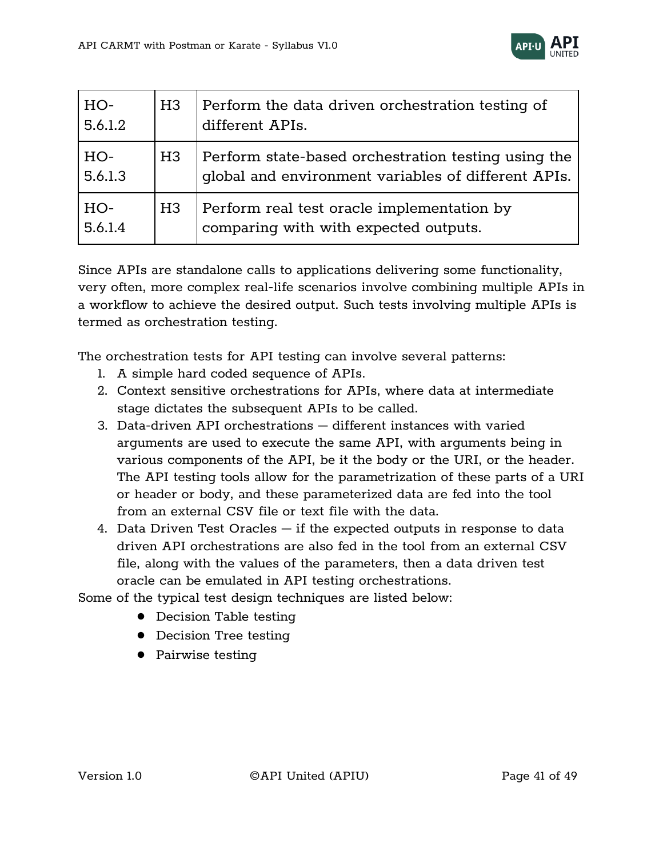

| HO-<br>5.6.1.2 | H <sub>3</sub> | Perform the data driven orchestration testing of<br>different APIs.                                        |
|----------------|----------------|------------------------------------------------------------------------------------------------------------|
| HO-<br>5.6.1.3 | H3             | Perform state-based orchestration testing using the<br>global and environment variables of different APIs. |
| HO-<br>5.6.1.4 | H <sub>3</sub> | Perform real test oracle implementation by<br>comparing with with expected outputs.                        |

Since APIs are standalone calls to applications delivering some functionality, very often, more complex real-life scenarios involve combining multiple APIs in a workflow to achieve the desired output. Such tests involving multiple APIs is termed as orchestration testing.

The orchestration tests for API testing can involve several patterns:

- 1. A simple hard coded sequence of APIs.
- 2. Context sensitive orchestrations for APIs, where data at intermediate stage dictates the subsequent APIs to be called.
- 3. Data-driven API orchestrations different instances with varied arguments are used to execute the same API, with arguments being in various components of the API, be it the body or the URI, or the header. The API testing tools allow for the parametrization of these parts of a URI or header or body, and these parameterized data are fed into the tool from an external CSV file or text file with the data.
- 4. Data Driven Test Oracles if the expected outputs in response to data driven API orchestrations are also fed in the tool from an external CSV file, along with the values of the parameters, then a data driven test oracle can be emulated in API testing orchestrations.

Some of the typical test design techniques are listed below:

- Decision Table testing
- Decision Tree testing
- Pairwise testing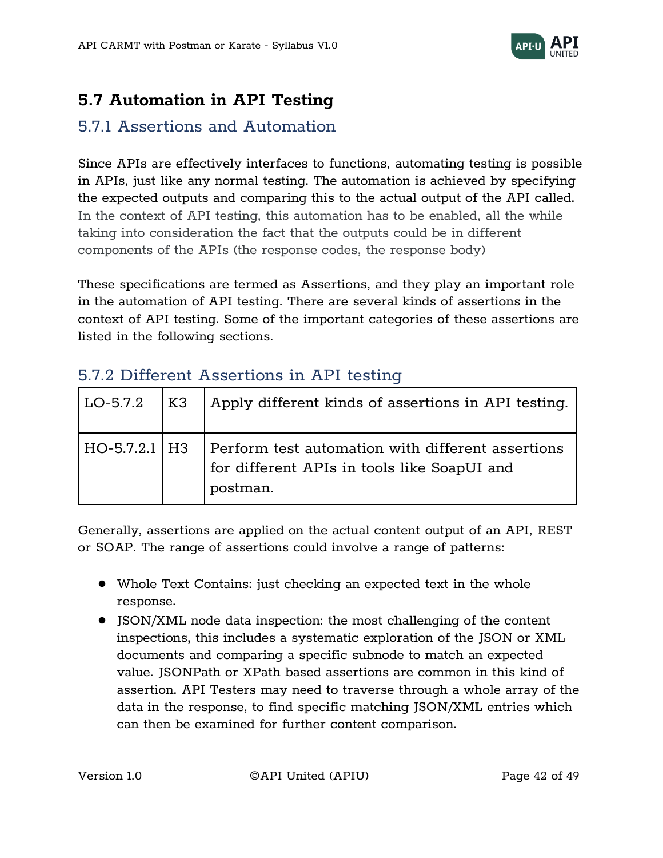

# <span id="page-41-0"></span>**5.7 Automation in API Testing**

# <span id="page-41-1"></span>5.7.1 Assertions and Automation

Since APIs are effectively interfaces to functions, automating testing is possible in APIs, just like any normal testing. The automation is achieved by specifying the expected outputs and comparing this to the actual output of the API called. In the context of API testing, this automation has to be enabled, all the while taking into consideration the fact that the outputs could be in different components of the APIs (the response codes, the response body)

These specifications are termed as Assertions, and they play an important role in the automation of API testing. There are several kinds of assertions in the context of API testing. Some of the important categories of these assertions are listed in the following sections.

# <span id="page-41-2"></span>5.7.2 Different Assertions in API testing

| $LO-5.7.2$      | l K3 | Apply different kinds of assertions in API testing.                                                          |
|-----------------|------|--------------------------------------------------------------------------------------------------------------|
| $HO-5.7.2.1$ H3 |      | Perform test automation with different assertions<br>for different APIs in tools like SoapUI and<br>postman. |

Generally, assertions are applied on the actual content output of an API, REST or SOAP. The range of assertions could involve a range of patterns:

- Whole Text Contains: just checking an expected text in the whole response.
- JSON/XML node data inspection: the most challenging of the content inspections, this includes a systematic exploration of the JSON or XML documents and comparing a specific subnode to match an expected value. JSONPath or XPath based assertions are common in this kind of assertion. API Testers may need to traverse through a whole array of the data in the response, to find specific matching JSON/XML entries which can then be examined for further content comparison.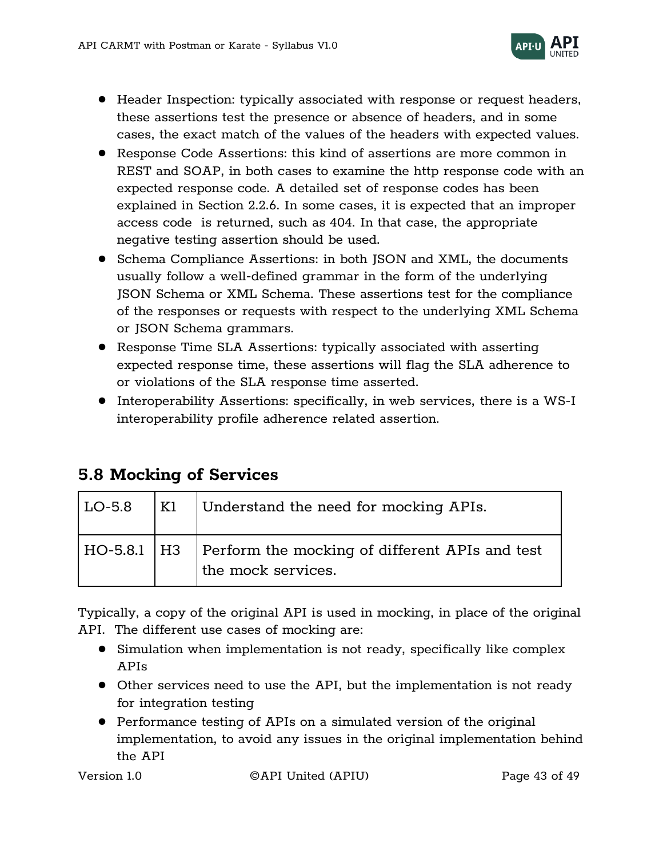

- Header Inspection: typically associated with response or request headers, these assertions test the presence or absence of headers, and in some cases, the exact match of the values of the headers with expected values.
- Response Code Assertions: this kind of assertions are more common in REST and SOAP, in both cases to examine the http response code with an expected response code. A detailed set of response codes has been explained in Section 2.2.6. In some cases, it is expected that an improper access code is returned, such as 404. In that case, the appropriate negative testing assertion should be used.
- Schema Compliance Assertions: in both JSON and XML, the documents usually follow a well-defined grammar in the form of the underlying JSON Schema or XML Schema. These assertions test for the compliance of the responses or requests with respect to the underlying XML Schema or JSON Schema grammars.
- Response Time SLA Assertions: typically associated with asserting expected response time, these assertions will flag the SLA adherence to or violations of the SLA response time asserted.
- Interoperability Assertions: specifically, in web services, there is a WS-I interoperability profile adherence related assertion.

# <span id="page-42-0"></span>**5.8 Mocking of Services**

| LO-5.8 | K1 | Understand the need for mocking APIs.                                                |
|--------|----|--------------------------------------------------------------------------------------|
|        |    | HO-5.8.1   H3   Perform the mocking of different APIs and test<br>the mock services. |

Typically, a copy of the original API is used in mocking, in place of the original API. The different use cases of mocking are:

- Simulation when implementation is not ready, specifically like complex APIs
- Other services need to use the API, but the implementation is not ready for integration testing
- Performance testing of APIs on a simulated version of the original implementation, to avoid any issues in the original implementation behind the API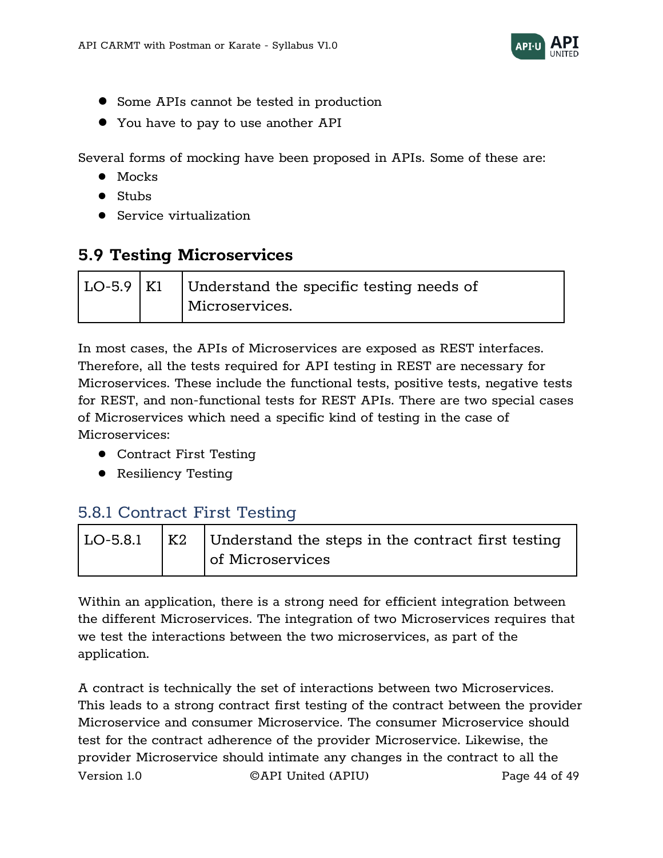

- Some APIs cannot be tested in production
- You have to pay to use another API

Several forms of mocking have been proposed in APIs. Some of these are:

- Mocks
- Stubs
- Service virtualization

# <span id="page-43-0"></span>**5.9 Testing Microservices**

|  | $ $ LO-5.9 $ $ Kl $ $ Understand the specific testing needs of |
|--|----------------------------------------------------------------|
|  | Microservices.                                                 |

In most cases, the APIs of Microservices are exposed as REST interfaces. Therefore, all the tests required for API testing in REST are necessary for Microservices. These include the functional tests, positive tests, negative tests for REST, and non-functional tests for REST APIs. There are two special cases of Microservices which need a specific kind of testing in the case of Microservices:

- Contract First Testing
- Resiliency Testing

# <span id="page-43-1"></span>5.8.1 Contract First Testing

|  | $\vert$ LO-5.8.1 $\vert$ K2 $\vert$ Understand the steps in the contract first testing |
|--|----------------------------------------------------------------------------------------|
|  | of Microservices                                                                       |

Within an application, there is a strong need for efficient integration between the different Microservices. The integration of two Microservices requires that we test the interactions between the two microservices, as part of the application.

Version 1.0 ©API United (APIU) Page 44 of 49 A contract is technically the set of interactions between two Microservices. This leads to a strong contract first testing of the contract between the provider Microservice and consumer Microservice. The consumer Microservice should test for the contract adherence of the provider Microservice. Likewise, the provider Microservice should intimate any changes in the contract to all the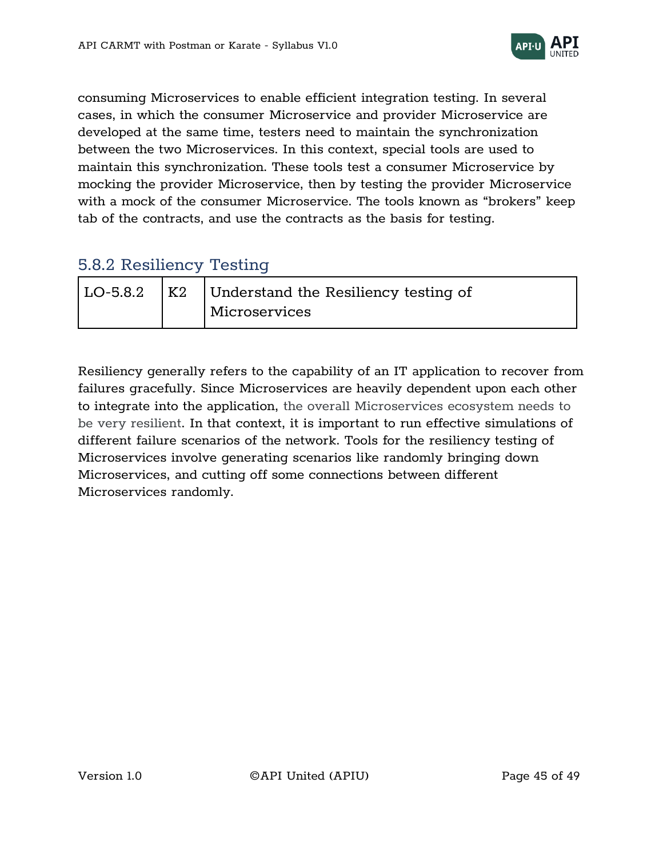

consuming Microservices to enable efficient integration testing. In several cases, in which the consumer Microservice and provider Microservice are developed at the same time, testers need to maintain the synchronization between the two Microservices. In this context, special tools are used to maintain this synchronization. These tools test a consumer Microservice by mocking the provider Microservice, then by testing the provider Microservice with a mock of the consumer Microservice. The tools known as "brokers" keep tab of the contracts, and use the contracts as the basis for testing.

# <span id="page-44-0"></span>5.8.2 Resiliency Testing

| LO-5.8.2 | ' K2 | Understand the Resiliency testing of |
|----------|------|--------------------------------------|
|          |      | Microservices                        |

Resiliency generally refers to the capability of an IT application to recover from failures gracefully. Since Microservices are heavily dependent upon each other to integrate into the application, the overall Microservices ecosystem needs to be very resilient. In that context, it is important to run effective simulations of different failure scenarios of the network. Tools for the resiliency testing of Microservices involve generating scenarios like randomly bringing down Microservices, and cutting off some connections between different Microservices randomly.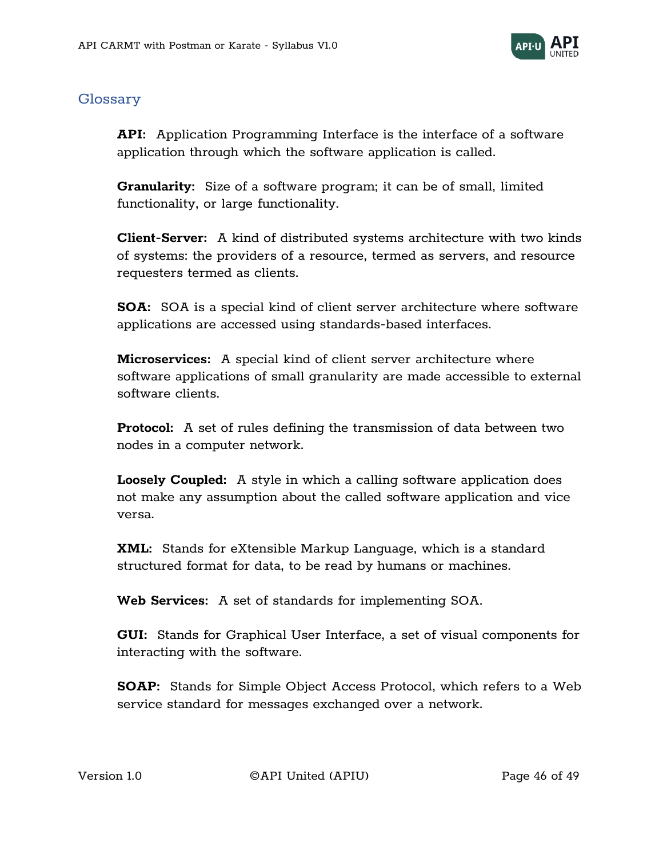

#### <span id="page-45-0"></span>Glossary

**API:** Application Programming Interface is the interface of a software application through which the software application is called.

**Granularity:** Size of a software program; it can be of small, limited functionality, or large functionality.

**Client-Server:** A kind of distributed systems architecture with two kinds of systems: the providers of a resource, termed as servers, and resource requesters termed as clients.

**SOA:** SOA is a special kind of client server architecture where software applications are accessed using standards-based interfaces.

**Microservices:** A special kind of client server architecture where software applications of small granularity are made accessible to external software clients.

**Protocol:** A set of rules defining the transmission of data between two nodes in a computer network.

**Loosely Coupled:** A style in which a calling software application does not make any assumption about the called software application and vice versa.

**XML:** Stands for eXtensible Markup Language, which is a standard structured format for data, to be read by humans or machines.

**Web Services:** A set of standards for implementing SOA.

**GUI:** Stands for Graphical User Interface, a set of visual components for interacting with the software.

**SOAP:** Stands for Simple Object Access Protocol, which refers to a Web service standard for messages exchanged over a network.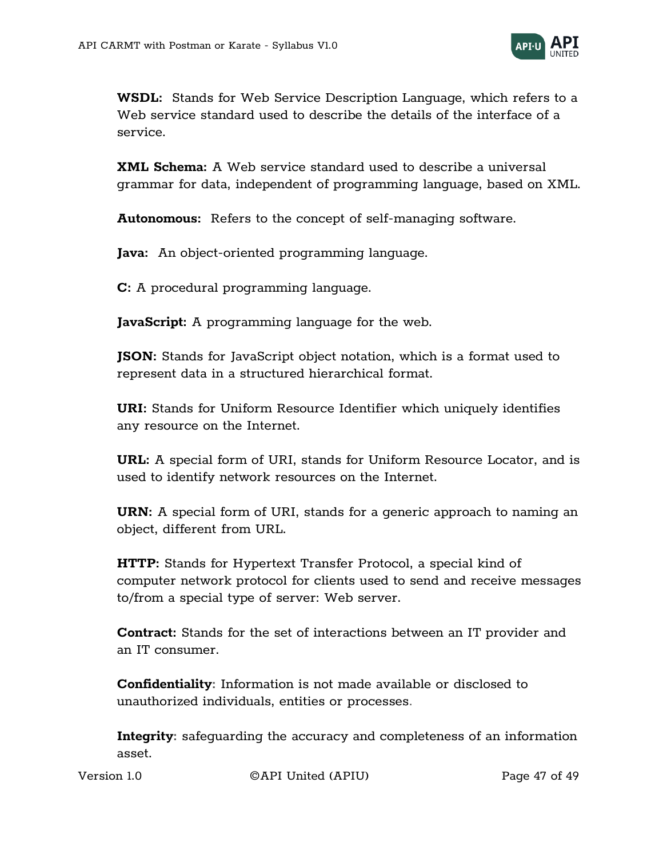

**WSDL:** Stands for Web Service Description Language, which refers to a Web service standard used to describe the details of the interface of a service.

**XML Schema:** A Web service standard used to describe a universal grammar for data, independent of programming language, based on XML.

**Autonomous:** Refers to the concept of self-managing software.

**Java:** An object-oriented programming language.

**C:** A procedural programming language.

**JavaScript:** A programming language for the web.

**JSON:** Stands for JavaScript object notation, which is a format used to represent data in a structured hierarchical format.

**URI:** Stands for Uniform Resource Identifier which uniquely identifies any resource on the Internet.

**URL:** A special form of URI, stands for Uniform Resource Locator, and is used to identify network resources on the Internet.

**URN:** A special form of URI, stands for a generic approach to naming an object, different from URL.

**HTTP:** Stands for Hypertext Transfer Protocol, a special kind of computer network protocol for clients used to send and receive messages to/from a special type of server: Web server.

**Contract:** Stands for the set of interactions between an IT provider and an IT consumer.

**Confidentiality:** Information is not made available or disclosed to unauthorized individuals, entities or processes.

**Integrity:** safeguarding the accuracy and completeness of an information asset.

Version 1.0 ©API United (APIU) Page 47 of 49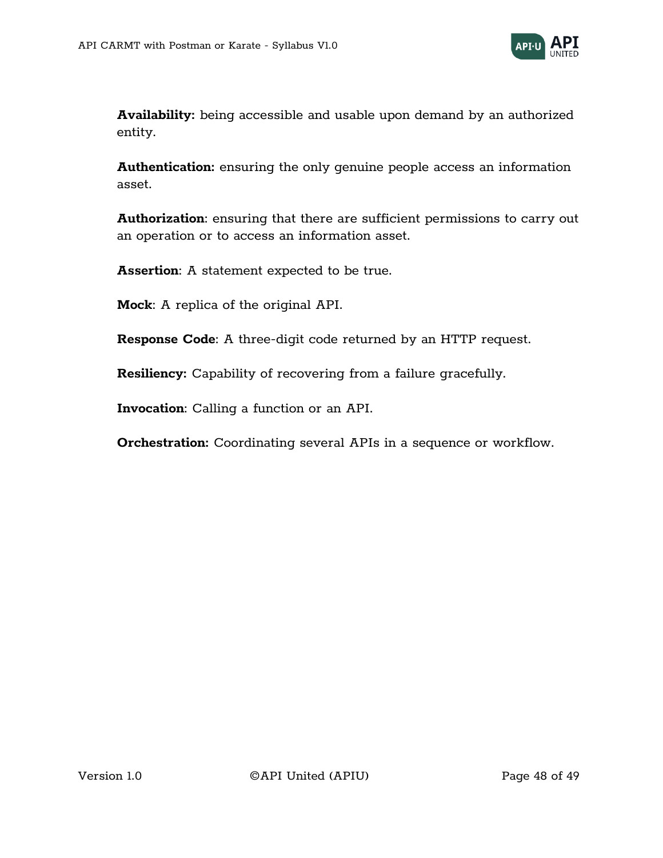

**Availability:** being accessible and usable upon demand by an authorized entity.

**Authentication:** ensuring the only genuine people access an information asset.

**Authorization**: ensuring that there are sufficient permissions to carry out an operation or to access an information asset.

**Assertion**: A statement expected to be true.

**Mock**: A replica of the original API.

**Response Code**: A three-digit code returned by an HTTP request.

**Resiliency:** Capability of recovering from a failure gracefully.

**Invocation**: Calling a function or an API.

**Orchestration:** Coordinating several APIs in a sequence or workflow.